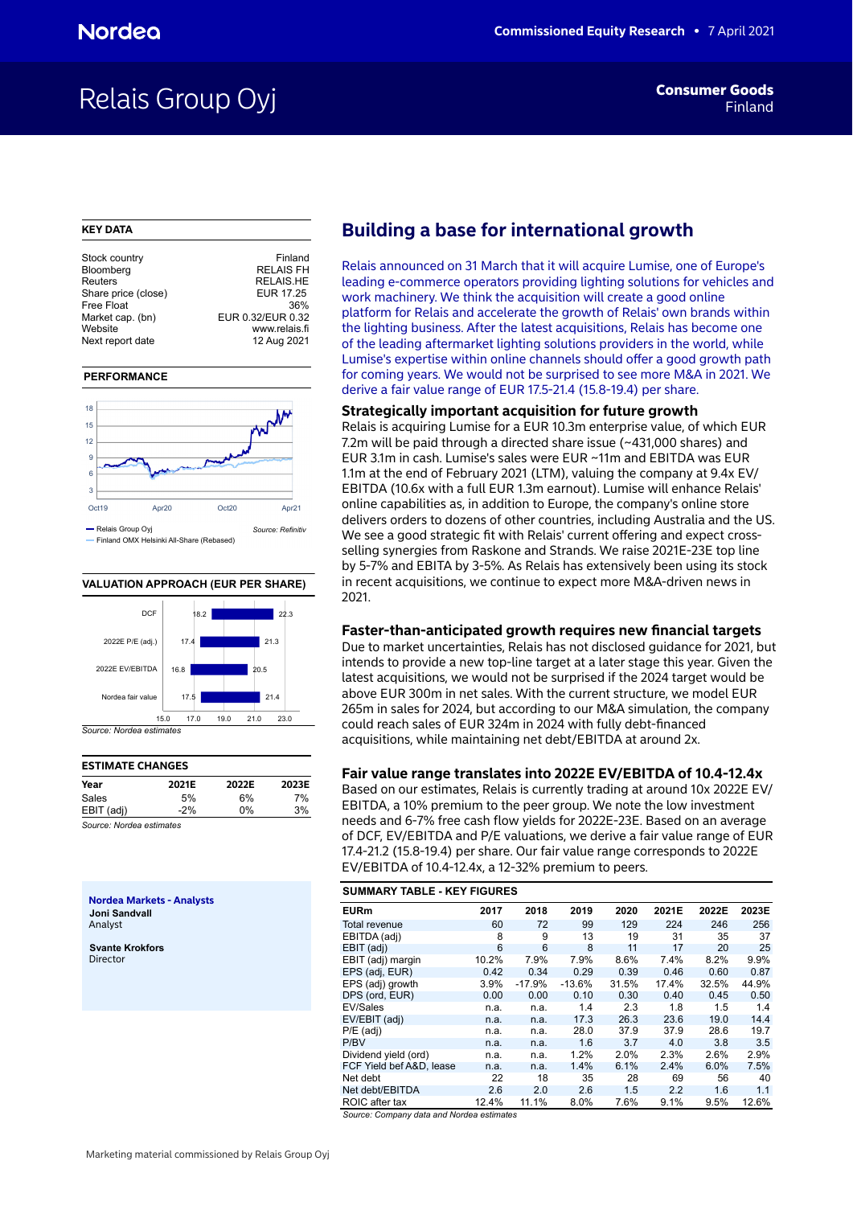## Relais Group Oyj **Findam Consumer Goods**

### **KEY DATA**

| Stock country       | Finland           |
|---------------------|-------------------|
| Bloomberg           | <b>RELAIS FH</b>  |
| Reuters             | <b>RELAIS.HE</b>  |
| Share price (close) | EUR 17.25         |
| Free Float          | 36%               |
| Market cap. (bn)    | EUR 0.32/EUR 0.32 |
| Website             | www.relais.fi     |
| Next report date    | 12 Aug 2021       |
|                     |                   |

### **PERFORMANCE**



### **VALUATION APPROACH (EUR PER SHARE)**



## **ESTIMATE CHANGES Year 2021E 2022E 2023E** Sales 5% 6% 7% EBIT (adj) -2% 0% 3%

*Source: Nordea estimates*

**Nordea Markets - Analysts Joni Sandvall** Analyst

**Svante Krokfors** Director

## **Building a base for international growth**

Relais announced on 31 March that it will acquire Lumise, one of Europe's leading e-commerce operators providing lighting solutions for vehicles and work machinery. We think the acquisition will create a good online platform for Relais and accelerate the growth of Relais' own brands within the lighting business. After the latest acquisitions, Relais has become one of the leading aftermarket lighting solutions providers in the world, while Lumise's expertise within online channels should offer a good growth path for coming years. We would not be surprised to see more M&A in 2021. We derive a fair value range of EUR 17.5-21.4 (15.8-19.4) per share.

## **Strategically important acquisition for future growth**

Relais is acquiring Lumise for a EUR 10.3m enterprise value, of which EUR 7.2m will be paid through a directed share issue (~431,000 shares) and EUR 3.1m in cash. Lumise's sales were EUR ~11m and EBITDA was EUR 1.1m at the end of February 2021 (LTM), valuing the company at 9.4x EV/ EBITDA (10.6x with a full EUR 1.3m earnout). Lumise will enhance Relais' online capabilities as, in addition to Europe, the company's online store delivers orders to dozens of other countries, including Australia and the US. We see a good strategic fit with Relais' current offering and expect crossselling synergies from Raskone and Strands. We raise 2021E-23E top line by 5-7% and EBITA by 3-5%. As Relais has extensively been using its stock in recent acquisitions, we continue to expect more M&A-driven news in 2021.

## **Faster-than-anticipated growth requires new financial targets**

Due to market uncertainties, Relais has not disclosed guidance for 2021, but intends to provide a new top-line target at a later stage this year. Given the latest acquisitions, we would not be surprised if the 2024 target would be above EUR 300m in net sales. With the current structure, we model EUR 265m in sales for 2024, but according to our M&A simulation, the company could reach sales of EUR 324m in 2024 with fully debt-financed acquisitions, while maintaining net debt/EBITDA at around 2x.

## **Fair value range translates into 2022E EV/EBITDA of 10.4-12.4x**

Based on our estimates, Relais is currently trading at around 10x 2022E EV/ EBITDA, a 10% premium to the peer group. We note the low investment needs and 6-7% free cash flow yields for 2022E-23E. Based on an average of DCF, EV/EBITDA and P/E valuations, we derive a fair value range of EUR 17.4-21.2 (15.8-19.4) per share. Our fair value range corresponds to 2022E EV/EBITDA of 10.4-12.4x, a 12-32% premium to peers.

|                          | <b>SUMMARY TABLE - KEY FIGURES</b> |          |          |       |       |       |       |  |  |  |  |  |
|--------------------------|------------------------------------|----------|----------|-------|-------|-------|-------|--|--|--|--|--|
| <b>EURm</b>              | 2017                               | 2018     | 2019     | 2020  | 2021E | 2022E | 2023E |  |  |  |  |  |
| <b>Total revenue</b>     | 60                                 | 72       | 99       | 129   | 224   | 246   | 256   |  |  |  |  |  |
| EBITDA (adj)             | 8                                  | 9        | 13       | 19    | 31    | 35    | 37    |  |  |  |  |  |
| EBIT (adj)               | 6                                  | 6        | 8        | 11    | 17    | 20    | 25    |  |  |  |  |  |
| EBIT (adj) margin        | 10.2%                              | 7.9%     | 7.9%     | 8.6%  | 7.4%  | 8.2%  | 9.9%  |  |  |  |  |  |
| EPS (adj, EUR)           | 0.42                               | 0.34     | 0.29     | 0.39  | 0.46  | 0.60  | 0.87  |  |  |  |  |  |
| EPS (adj) growth         | 3.9%                               | $-17.9%$ | $-13.6%$ | 31.5% | 17.4% | 32.5% | 44.9% |  |  |  |  |  |
| DPS (ord, EUR)           | 0.00                               | 0.00     | 0.10     | 0.30  | 0.40  | 0.45  | 0.50  |  |  |  |  |  |
| EV/Sales                 | n.a.                               | n.a.     | 1.4      | 2.3   | 1.8   | 1.5   | 1.4   |  |  |  |  |  |
| EV/EBIT (adj)            | n.a.                               | n.a.     | 17.3     | 26.3  | 23.6  | 19.0  | 14.4  |  |  |  |  |  |
| $P/E$ (adj)              | n.a.                               | n.a.     | 28.0     | 37.9  | 37.9  | 28.6  | 19.7  |  |  |  |  |  |
| P/BV                     | n.a.                               | n.a.     | 1.6      | 3.7   | 4.0   | 3.8   | 3.5   |  |  |  |  |  |
| Dividend yield (ord)     | n.a.                               | n.a.     | 1.2%     | 2.0%  | 2.3%  | 2.6%  | 2.9%  |  |  |  |  |  |
| FCF Yield bef A&D. lease | n.a.                               | n.a.     | 1.4%     | 6.1%  | 2.4%  | 6.0%  | 7.5%  |  |  |  |  |  |
| Net debt                 | 22                                 | 18       | 35       | 28    | 69    | 56    | 40    |  |  |  |  |  |
| Net debt/EBITDA          | 2.6                                | 2.0      | 2.6      | 1.5   | 2.2   | 1.6   | 1.1   |  |  |  |  |  |
| ROIC after tax           | 12.4%                              | 11.1%    | 8.0%     | 7.6%  | 9.1%  | 9.5%  | 12.6% |  |  |  |  |  |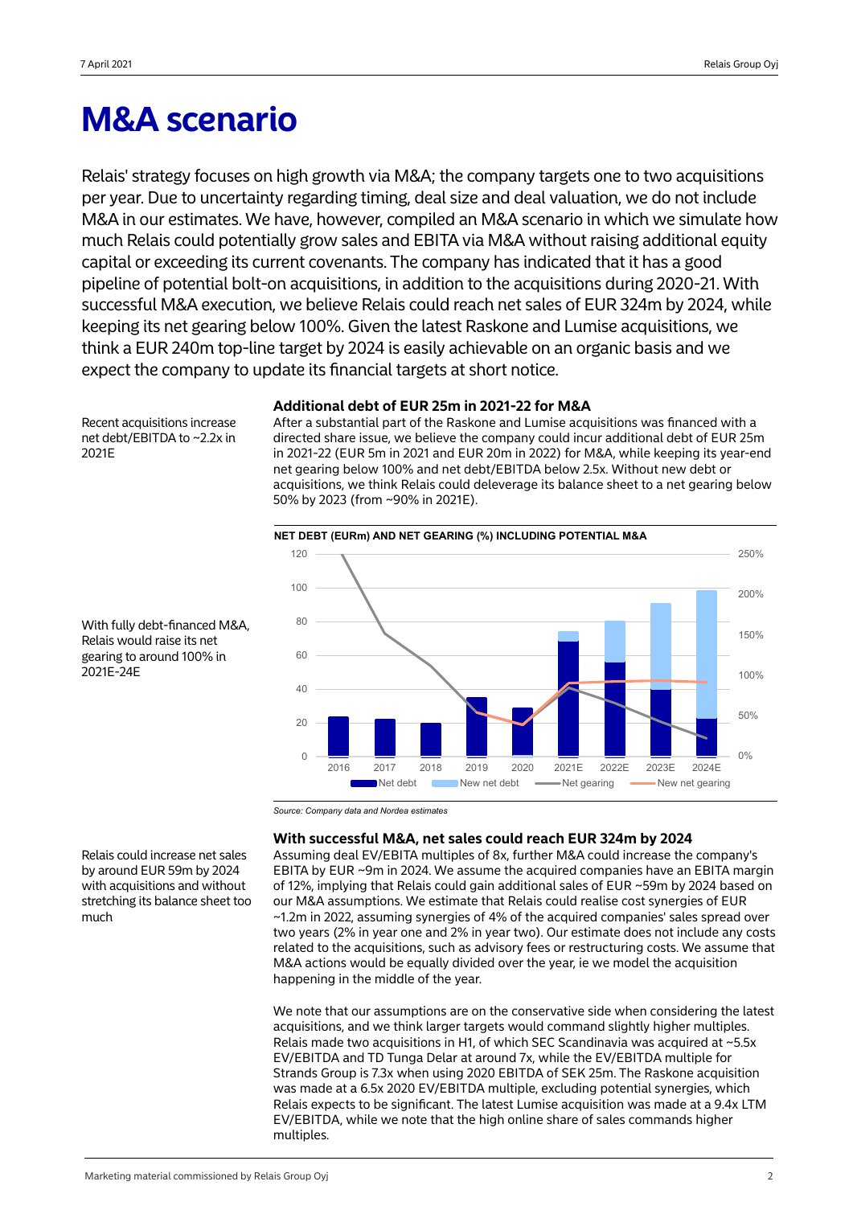## **M&A scenario**

Relais' strategy focuses on high growth via M&A; the company targets one to two acquisitions per year. Due to uncertainty regarding timing, deal size and deal valuation, we do not include M&A in our estimates. We have, however, compiled an M&A scenario in which we simulate how much Relais could potentially grow sales and EBITA via M&A without raising additional equity capital or exceeding its current covenants. The company has indicated that it has a good pipeline of potential bolt-on acquisitions, in addition to the acquisitions during 2020-21. With successful M&A execution, we believe Relais could reach net sales of EUR 324m by 2024, while keeping its net gearing below 100%. Given the latest Raskone and Lumise acquisitions, we think a EUR 240m top-line target by 2024 is easily achievable on an organic basis and we expect the company to update its financial targets at short notice.

## **Additional debt of EUR 25m in 2021-22 for M&A**

Recent acquisitions increase net debt/EBITDA to ~2.2x in 2021E

After a substantial part of the Raskone and Lumise acquisitions was financed with a directed share issue, we believe the company could incur additional debt of EUR 25m in 2021-22 (EUR 5m in 2021 and EUR 20m in 2022) for M&A, while keeping its year-end net gearing below 100% and net debt/EBITDA below 2.5x. Without new debt or acquisitions, we think Relais could deleverage its balance sheet to a net gearing below 50% by 2023 (from ~90% in 2021E).



With fully debt-financed M&A, Relais would raise its net gearing to around 100% in 2021E-24E

*Source: Company data and Nordea estimates*

## **With successful M&A, net sales could reach EUR 324m by 2024**

Assuming deal EV/EBITA multiples of 8x, further M&A could increase the company's EBITA by EUR ~9m in 2024. We assume the acquired companies have an EBITA margin of 12%, implying that Relais could gain additional sales of EUR ~59m by 2024 based on our M&A assumptions. We estimate that Relais could realise cost synergies of EUR ~1.2m in 2022, assuming synergies of 4% of the acquired companies' sales spread over two years (2% in year one and 2% in year two). Our estimate does not include any costs related to the acquisitions, such as advisory fees or restructuring costs. We assume that M&A actions would be equally divided over the year, ie we model the acquisition happening in the middle of the year.

We note that our assumptions are on the conservative side when considering the latest acquisitions, and we think larger targets would command slightly higher multiples. Relais made two acquisitions in H1, of which SEC Scandinavia was acquired at ~5.5x EV/EBITDA and TD Tunga Delar at around 7x, while the EV/EBITDA multiple for Strands Group is 7.3x when using 2020 EBITDA of SEK 25m. The Raskone acquisition was made at a 6.5x 2020 EV/EBITDA multiple, excluding potential synergies, which Relais expects to be significant. The latest Lumise acquisition was made at a 9.4x LTM EV/EBITDA, while we note that the high online share of sales commands higher multiples.

Relais could increase net sales by around EUR 59m by 2024 with acquisitions and without stretching its balance sheet too much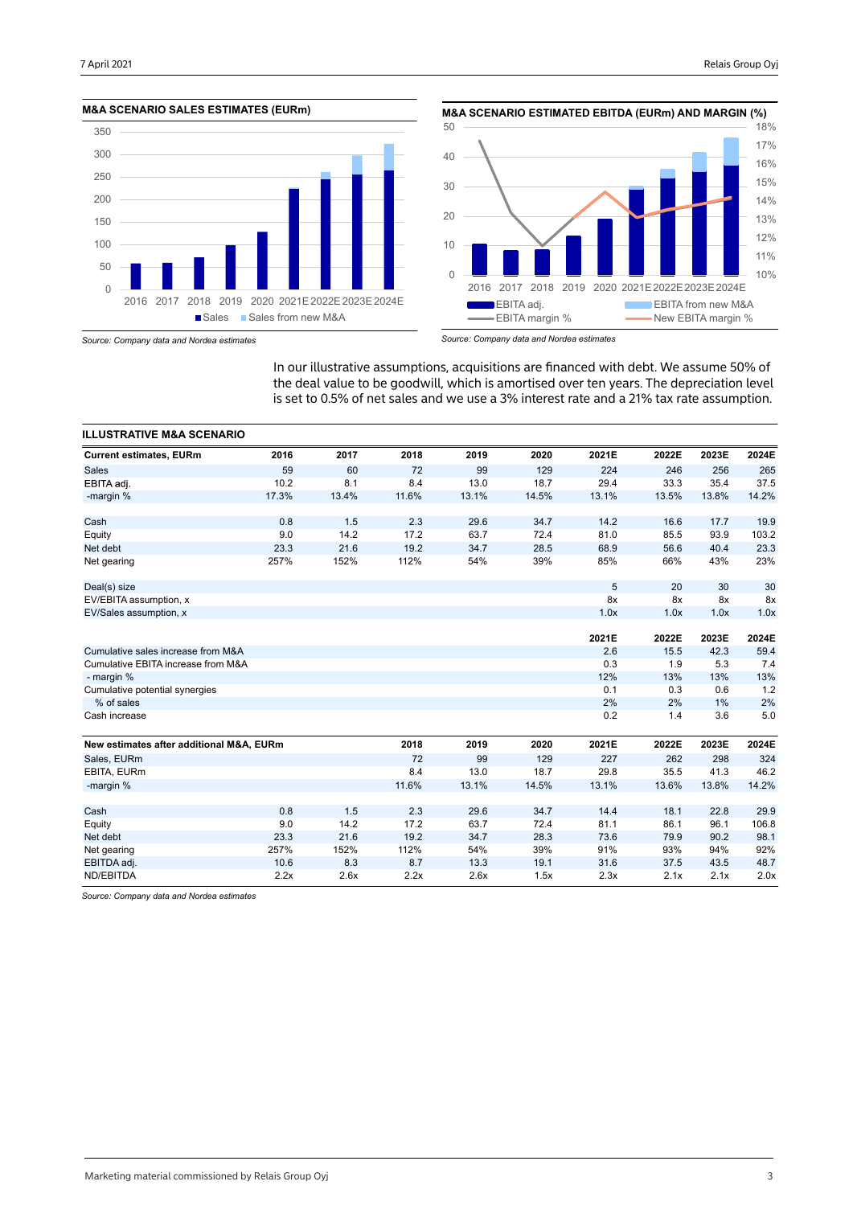



*Source: Company data and Nordea estimates*

*Source: Company data and Nordea estimates*

In our illustrative assumptions, acquisitions are financed with debt. We assume 50% of the deal value to be goodwill, which is amortised over ten years. The depreciation level is set to 0.5% of net sales and we use a 3% interest rate and a 21% tax rate assumption.

| <b>ILLUSTRATIVE M&amp;A SCENARIO</b>     |       |       |       |       |       |       |       |       |       |
|------------------------------------------|-------|-------|-------|-------|-------|-------|-------|-------|-------|
| <b>Current estimates, EURm</b>           | 2016  | 2017  | 2018  | 2019  | 2020  | 2021E | 2022E | 2023E | 2024E |
| <b>Sales</b>                             | 59    | 60    | 72    | 99    | 129   | 224   | 246   | 256   | 265   |
| EBITA adj.                               | 10.2  | 8.1   | 8.4   | 13.0  | 18.7  | 29.4  | 33.3  | 35.4  | 37.5  |
| -margin %                                | 17.3% | 13.4% | 11.6% | 13.1% | 14.5% | 13.1% | 13.5% | 13.8% | 14.2% |
| Cash                                     | 0.8   | 1.5   | 2.3   | 29.6  | 34.7  | 14.2  | 16.6  | 17.7  | 19.9  |
| Equity                                   | 9.0   | 14.2  | 17.2  | 63.7  | 72.4  | 81.0  | 85.5  | 93.9  | 103.2 |
| Net debt                                 | 23.3  | 21.6  | 19.2  | 34.7  | 28.5  | 68.9  | 56.6  | 40.4  | 23.3  |
| Net gearing                              | 257%  | 152%  | 112%  | 54%   | 39%   | 85%   | 66%   | 43%   | 23%   |
| Deal(s) size                             |       |       |       |       |       | 5     | 20    | 30    | 30    |
| EV/EBITA assumption, x                   |       |       |       |       |       | 8x    | 8x    | 8x    | 8x    |
| EV/Sales assumption, x                   |       |       |       |       |       | 1.0x  | 1.0x  | 1.0x  | 1.0x  |
|                                          |       |       |       |       |       |       |       |       |       |
|                                          |       |       |       |       |       | 2021E | 2022E | 2023E | 2024E |
| Cumulative sales increase from M&A       |       |       |       |       |       | 2.6   | 15.5  | 42.3  | 59.4  |
| Cumulative EBITA increase from M&A       |       |       |       |       |       | 0.3   | 1.9   | 5.3   | 7.4   |
| - margin %                               |       |       |       |       |       | 12%   | 13%   | 13%   | 13%   |
| Cumulative potential synergies           |       |       |       |       |       | 0.1   | 0.3   | 0.6   | 1.2   |
| % of sales                               |       |       |       |       |       | 2%    | 2%    | 1%    | 2%    |
| Cash increase                            |       |       |       |       |       | 0.2   | 1.4   | 3.6   | 5.0   |
| New estimates after additional M&A, EURm |       |       | 2018  | 2019  | 2020  | 2021E | 2022E | 2023E | 2024E |
| Sales, EURm                              |       |       | 72    | 99    | 129   | 227   | 262   | 298   | 324   |
| EBITA, EURm                              |       |       | 8.4   | 13.0  | 18.7  | 29.8  | 35.5  | 41.3  | 46.2  |
| -margin %                                |       |       | 11.6% | 13.1% | 14.5% | 13.1% | 13.6% | 13.8% | 14.2% |
|                                          |       |       |       |       |       |       |       |       |       |
| Cash                                     | 0.8   | 1.5   | 2.3   | 29.6  | 34.7  | 14.4  | 18.1  | 22.8  | 29.9  |
| Equity                                   | 9.0   | 14.2  | 17.2  | 63.7  | 72.4  | 81.1  | 86.1  | 96.1  | 106.8 |
| Net debt                                 | 23.3  | 21.6  | 19.2  | 34.7  | 28.3  | 73.6  | 79.9  | 90.2  | 98.1  |
| Net gearing                              | 257%  | 152%  | 112%  | 54%   | 39%   | 91%   | 93%   | 94%   | 92%   |
| EBITDA adj.                              | 10.6  | 8.3   | 8.7   | 13.3  | 19.1  | 31.6  | 37.5  | 43.5  | 48.7  |
| ND/EBITDA                                | 2.2x  | 2.6x  | 2.2x  | 2.6x  | 1.5x  | 2.3x  | 2.1x  | 2.1x  | 2.0x  |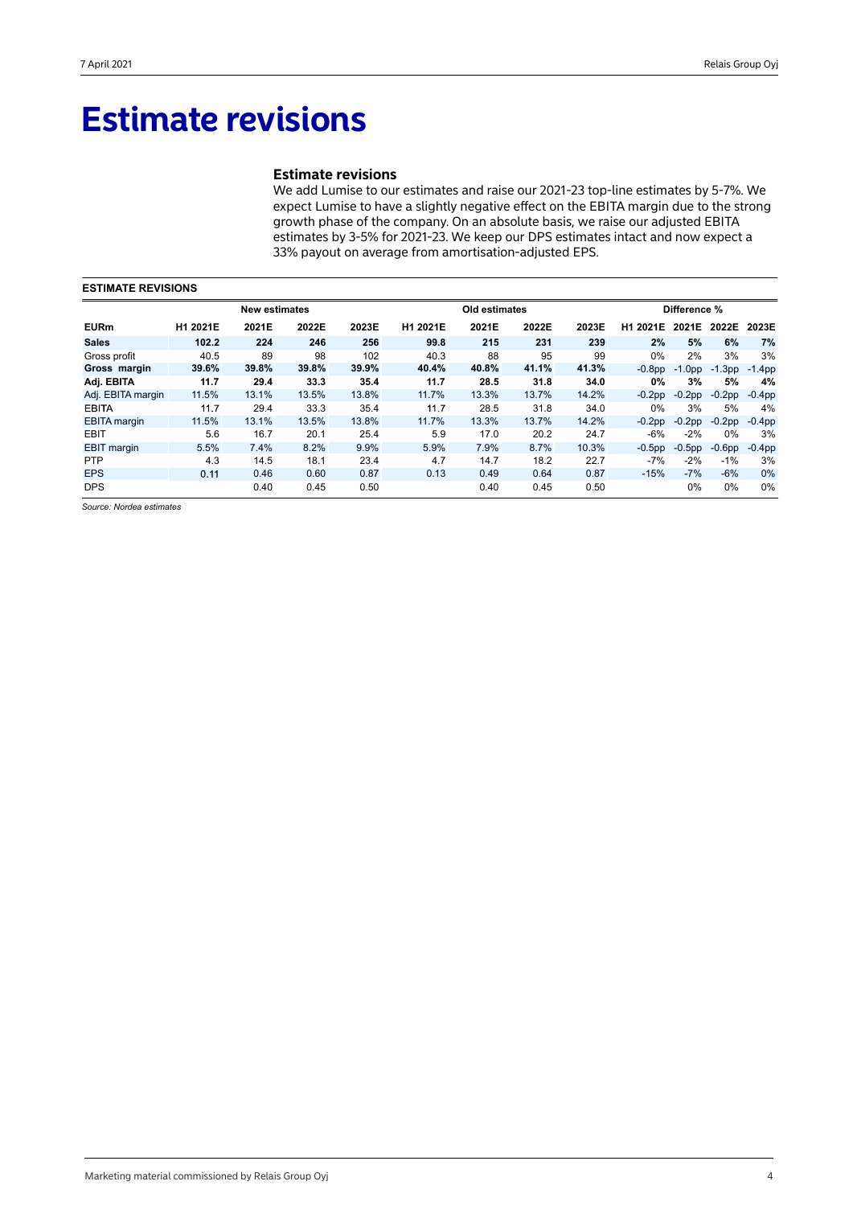## **Estimate revisions**

## **Estimate revisions**

We add Lumise to our estimates and raise our 2021-23 top-line estimates by 5-7%. We expect Lumise to have a slightly negative effect on the EBITA margin due to the strong growth phase of the company. On an absolute basis, we raise our adjusted EBITA estimates by 3-5% for 2021-23. We keep our DPS estimates intact and now expect a 33% payout on average from amortisation-adjusted EPS.

| <b>ESTIMATE REVISIONS</b> |          |                      |       |       |          |               |       |       |           |           |              |           |  |  |
|---------------------------|----------|----------------------|-------|-------|----------|---------------|-------|-------|-----------|-----------|--------------|-----------|--|--|
|                           |          | <b>New estimates</b> |       |       |          | Old estimates |       |       |           |           | Difference % |           |  |  |
| <b>EURm</b>               | H1 2021E | 2021E                | 2022E | 2023E | H1 2021E | 2021E         | 2022E | 2023E | H1 2021E  | 2021E     | 2022E        | 2023E     |  |  |
| <b>Sales</b>              | 102.2    | 224                  | 246   | 256   | 99.8     | 215           | 231   | 239   | 2%        | 5%        | 6%           | 7%        |  |  |
| Gross profit              | 40.5     | 89                   | 98    | 102   | 40.3     | 88            | 95    | 99    | $0\%$     | 2%        | 3%           | 3%        |  |  |
| Gross margin              | 39.6%    | 39.8%                | 39.8% | 39.9% | 40.4%    | 40.8%         | 41.1% | 41.3% | $-0.8pp$  | $-1.0pp$  | $-1.3$ pp    | $-1.4$ pp |  |  |
| Adj. EBITA                | 11.7     | 29.4                 | 33.3  | 35.4  | 11.7     | 28.5          | 31.8  | 34.0  | 0%        | 3%        | 5%           | 4%        |  |  |
| Adj. EBITA margin         | 11.5%    | 13.1%                | 13.5% | 13.8% | 11.7%    | 13.3%         | 13.7% | 14.2% | $-0.2pp$  | $-0.2$ pp | $-0.2$ pp    | $-0.4$ pp |  |  |
| <b>EBITA</b>              | 11.7     | 29.4                 | 33.3  | 35.4  | 11.7     | 28.5          | 31.8  | 34.0  | $0\%$     | 3%        | 5%           | 4%        |  |  |
| <b>EBITA</b> margin       | 11.5%    | 13.1%                | 13.5% | 13.8% | 11.7%    | 13.3%         | 13.7% | 14.2% | $-0.2$ pp | $-0.2$ pp | $-0.2$ pp    | $-0.4$ pp |  |  |
| <b>EBIT</b>               | 5.6      | 16.7                 | 20.1  | 25.4  | 5.9      | 17.0          | 20.2  | 24.7  | $-6%$     | $-2%$     | 0%           | 3%        |  |  |
| <b>EBIT</b> margin        | 5.5%     | 7.4%                 | 8.2%  | 9.9%  | 5.9%     | 7.9%          | 8.7%  | 10.3% | $-0.5$ pp | $-0.5$ pp | $-0.6pp$     | $-0.4pp$  |  |  |
| <b>PTP</b>                | 4.3      | 14.5                 | 18.1  | 23.4  | 4.7      | 14.7          | 18.2  | 22.7  | $-7%$     | $-2%$     | $-1%$        | 3%        |  |  |
| <b>EPS</b>                | 0.11     | 0.46                 | 0.60  | 0.87  | 0.13     | 0.49          | 0.64  | 0.87  | $-15%$    | $-7%$     | $-6\%$       | 0%        |  |  |
| <b>DPS</b>                |          | 0.40                 | 0.45  | 0.50  |          | 0.40          | 0.45  | 0.50  |           | $0\%$     | 0%           | 0%        |  |  |

*Source: Nordea estimates*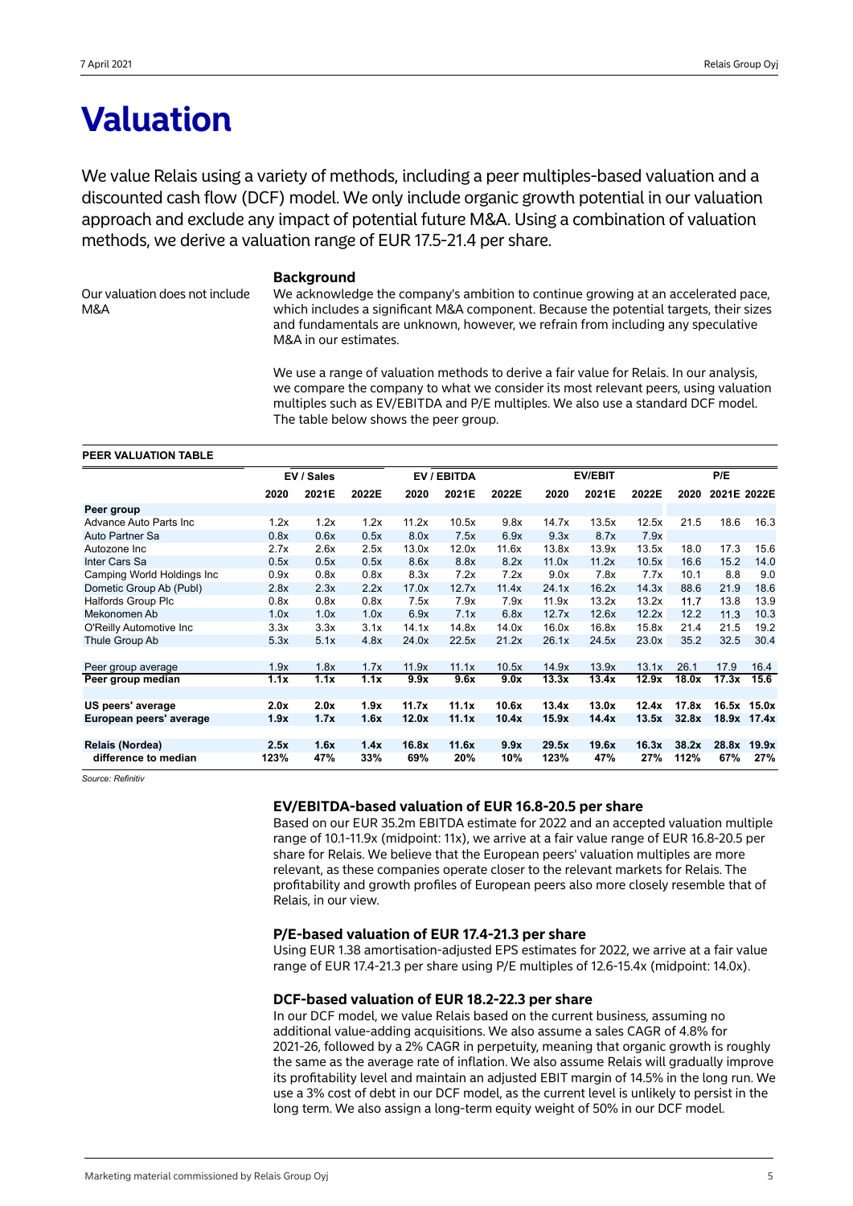## **Valuation**

We value Relais using a variety of methods, including a peer multiples-based valuation and a discounted cash flow (DCF) model. We only include organic growth potential in our valuation approach and exclude any impact of potential future M&A. Using a combination of valuation methods, we derive a valuation range of EUR 17.5-21.4 per share.

Our valuation does not include M&A

## **Background**

We acknowledge the company's ambition to continue growing at an accelerated pace, which includes a significant M&A component. Because the potential targets, their sizes and fundamentals are unknown, however, we refrain from including any speculative M&A in our estimates.

We use a range of valuation methods to derive a fair value for Relais. In our analysis, we compare the company to what we consider its most relevant peers, using valuation multiples such as EV/EBITDA and P/E multiples. We also use a standard DCF model. The table below shows the peer group.

### **PEER VALUATION TABLE**

|                             |      | EV / Sales |       |       | EV / EBITDA | <b>EV/EBIT</b> |       |       |       |       | P/E         |             |
|-----------------------------|------|------------|-------|-------|-------------|----------------|-------|-------|-------|-------|-------------|-------------|
|                             | 2020 | 2021E      | 2022E | 2020  | 2021E       | 2022E          | 2020  | 2021E | 2022E | 2020  | 2021E 2022E |             |
| Peer group                  |      |            |       |       |             |                |       |       |       |       |             |             |
| Advance Auto Parts Inc      | 1.2x | 1.2x       | 1.2x  | 11.2x | 10.5x       | 9.8x           | 14.7x | 13.5x | 12.5x | 21.5  | 18.6        | 16.3        |
| Auto Partner Sa             | 0.8x | 0.6x       | 0.5x  | 8.0x  | 7.5x        | 6.9x           | 9.3x  | 8.7x  | 7.9x  |       |             |             |
| Autozone Inc                | 2.7x | 2.6x       | 2.5x  | 13.0x | 12.0x       | 11.6x          | 13.8x | 13.9x | 13.5x | 18.0  | 17.3        | 15.6        |
| Inter Cars Sa               | 0.5x | 0.5x       | 0.5x  | 8.6x  | 8.8x        | 8.2x           | 11.0x | 11.2x | 10.5x | 16.6  | 15.2        | 14.0        |
| Camping World Holdings Inc. | 0.9x | 0.8x       | 0.8x  | 8.3x  | 7.2x        | 7.2x           | 9.0x  | 7.8x  | 7.7x  | 10.1  | 8.8         | 9.0         |
| Dometic Group Ab (Publ)     | 2.8x | 2.3x       | 2.2x  | 17.0x | 12.7x       | 11.4x          | 24.1x | 16.2x | 14.3x | 88.6  | 21.9        | 18.6        |
| <b>Halfords Group Plc</b>   | 0.8x | 0.8x       | 0.8x  | 7.5x  | 7.9x        | 7.9x           | 11.9x | 13.2x | 13.2x | 11.7  | 13.8        | 13.9        |
| Mekonomen Ab                | 1.0x | 1.0x       | 1.0x  | 6.9x  | 7.1x        | 6.8x           | 12.7x | 12.6x | 12.2x | 12.2  | 11.3        | 10.3        |
| O'Reilly Automotive Inc.    | 3.3x | 3.3x       | 3.1x  | 14.1x | 14.8x       | 14.0x          | 16.0x | 16.8x | 15.8x | 21.4  | 21.5        | 19.2        |
| Thule Group Ab              | 5.3x | 5.1x       | 4.8x  | 24.0x | 22.5x       | 21.2x          | 26.1x | 24.5x | 23.0x | 35.2  | 32.5        | 30.4        |
|                             |      |            |       |       |             |                |       |       |       |       |             |             |
| Peer group average          | 1.9x | 1.8x       | 1.7x  | 11.9x | 11.1x       | 10.5x          | 14.9x | 13.9x | 13.1x | 26.1  | 17.9        | 16.4        |
| Peer group median           | 1.1x | 1.1x       | 1.1x  | 9.9x  | 9.6x        | 9.0x           | 13.3x | 13.4x | 12.9x | 18.0x | 17.3x       | 15.6        |
|                             |      |            |       |       |             |                |       |       |       |       |             |             |
| US peers' average           | 2.0x | 2.0x       | 1.9x  | 11.7x | 11.1x       | 10.6x          | 13.4x | 13.0x | 12.4x | 17.8x |             | 16.5x 15.0x |
| European peers' average     | 1.9x | 1.7x       | 1.6x  | 12.0x | 11.1x       | 10.4x          | 15.9x | 14.4x | 13.5x | 32.8x | 18.9x       | 17.4x       |
|                             |      |            |       |       |             |                |       |       |       |       |             |             |
| Relais (Nordea)             | 2.5x | 1.6x       | 1.4x  | 16.8x | 11.6x       | 9.9x           | 29.5x | 19.6x | 16.3x | 38.2x | 28.8x       | 19.9x       |
| difference to median        | 123% | 47%        | 33%   | 69%   | 20%         | 10%            | 123%  | 47%   | 27%   | 112%  | 67%         | 27%         |

*Source: Refinitiv*

## **EV/EBITDA-based valuation of EUR 16.8-20.5 per share**

Based on our EUR 35.2m EBITDA estimate for 2022 and an accepted valuation multiple range of 10.1-11.9x (midpoint: 11x), we arrive at a fair value range of EUR 16.8-20.5 per share for Relais. We believe that the European peers' valuation multiples are more relevant, as these companies operate closer to the relevant markets for Relais. The profitability and growth profiles of European peers also more closely resemble that of Relais, in our view.

## **P/E-based valuation of EUR 17.4-21.3 per share**

Using EUR 1.38 amortisation-adjusted EPS estimates for 2022, we arrive at a fair value range of EUR 17.4-21.3 per share using P/E multiples of 12.6-15.4x (midpoint: 14.0x).

## **DCF-based valuation of EUR 18.2-22.3 per share**

In our DCF model, we value Relais based on the current business, assuming no additional value-adding acquisitions. We also assume a sales CAGR of 4.8% for 2021-26, followed by a 2% CAGR in perpetuity, meaning that organic growth is roughly the same as the average rate of inflation. We also assume Relais will gradually improve its profitability level and maintain an adjusted EBIT margin of 14.5% in the long run. We use a 3% cost of debt in our DCF model, as the current level is unlikely to persist in the long term. We also assign a long-term equity weight of 50% in our DCF model.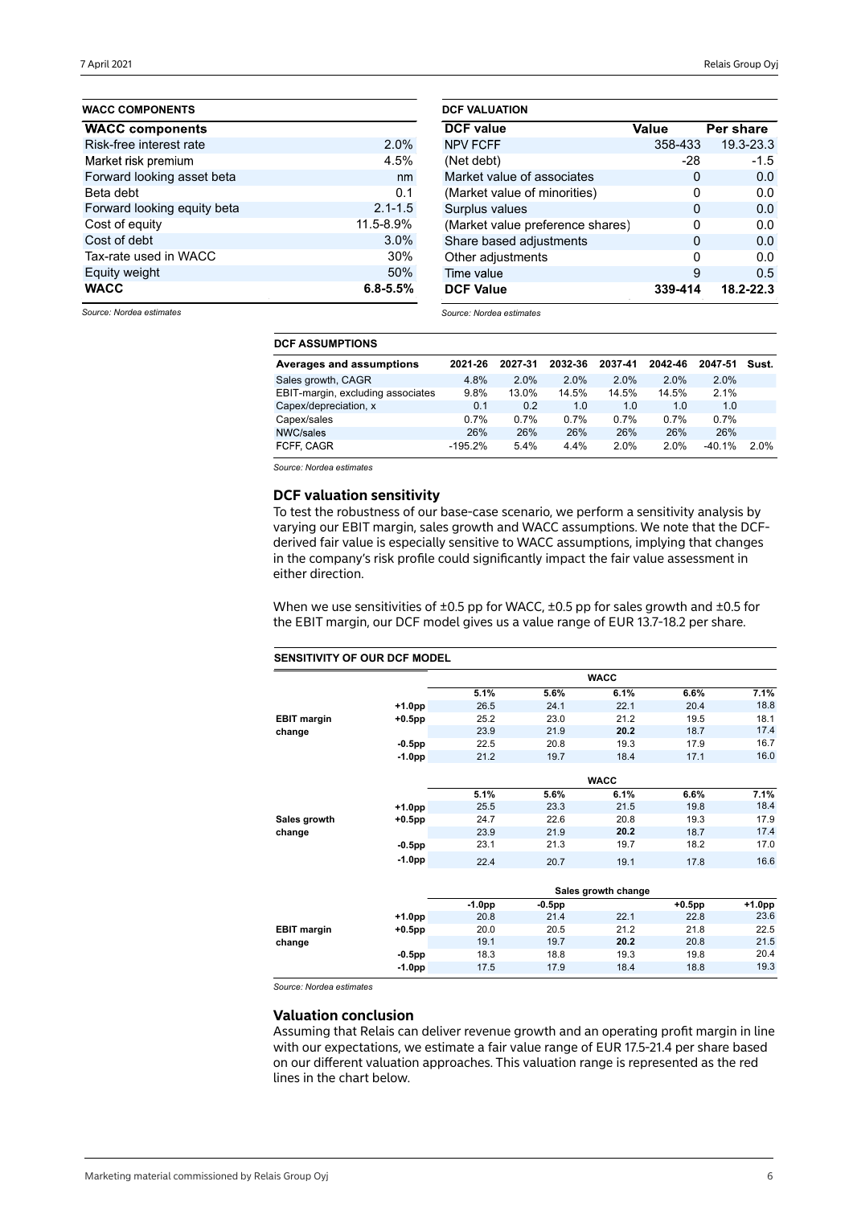| <b>WACC COMPONENTS</b>      |              |
|-----------------------------|--------------|
| <b>WACC components</b>      |              |
| Risk-free interest rate     | 2.0%         |
| Market risk premium         | 4.5%         |
| Forward looking asset beta  | nm           |
| Beta debt                   | 0.1          |
| Forward looking equity beta | $2.1 - 1.5$  |
| Cost of equity              | 11.5-8.9%    |
| Cost of debt                | 3.0%         |
| Tax-rate used in WACC       | 30%          |
| Equity weight               | 50%          |
| <b>WACC</b>                 | $6.8 - 5.5%$ |

| <b>DCF VALUATION</b>             |          |           |
|----------------------------------|----------|-----------|
| <b>DCF</b> value                 | Value    | Per share |
| <b>NPV FCFF</b>                  | 358-433  | 19.3-23.3 |
| (Net debt)                       | -28      | $-1.5$    |
| Market value of associates       | 0        | 0.0       |
| (Market value of minorities)     | O        | 0.0       |
| Surplus values                   | $\Omega$ | 0.0       |
| (Market value preference shares) | ŋ        | 0.0       |
| Share based adjustments          | O        | 0.0       |
| Other adjustments                | O        | 0.0       |
| Time value                       | 9        | 0.5       |
| <b>DCF Value</b>                 | 339-414  | 18.2-22.3 |

*Source: Nordea estimates*

*Source: Nordea estimates*

| <b>DCF ASSUMPTIONS</b>            |           |         |         |         |         |          |         |
|-----------------------------------|-----------|---------|---------|---------|---------|----------|---------|
| Averages and assumptions          | 2021-26   | 2027-31 | 2032-36 | 2037-41 | 2042-46 | 2047-51  | Sust.   |
| Sales growth, CAGR                | 4.8%      | 2.0%    | $2.0\%$ | 2.0%    | 2.0%    | 2.0%     |         |
| EBIT-margin, excluding associates | 9.8%      | 13.0%   | 14.5%   | 14.5%   | 14.5%   | 2.1%     |         |
| Capex/depreciation, x             | 0.1       | 0.2     | 1.0     | 1.0     | 1.0     | 1.0      |         |
| Capex/sales                       | 0.7%      | 0.7%    | 0.7%    | 0.7%    | 0.7%    | 0.7%     |         |
| NWC/sales                         | 26%       | 26%     | 26%     | 26%     | 26%     | 26%      |         |
| FCFF. CAGR                        | $-195.2%$ | 5.4%    | 4.4%    | 2.0%    | 2.0%    | $-40.1%$ | $2.0\%$ |

*Source: Nordea estimates*

## **DCF valuation sensitivity**

To test the robustness of our base-case scenario, we perform a sensitivity analysis by varying our EBIT margin, sales growth and WACC assumptions. We note that the DCFderived fair value is especially sensitive to WACC assumptions, implying that changes in the company's risk profile could significantly impact the fair value assessment in either direction.

When we use sensitivities of  $\pm 0.5$  pp for WACC,  $\pm 0.5$  pp for sales growth and  $\pm 0.5$  for the EBIT margin, our DCF model gives us a value range of EUR 13.7-18.2 per share.

## **SENSITIVITY OF OUR DCF MODEL**

|                    |           |          |           | <b>WACC</b>         |           |          |
|--------------------|-----------|----------|-----------|---------------------|-----------|----------|
|                    |           | 5.1%     | 5.6%      | 6.1%                | 6.6%      | 7.1%     |
|                    | +1.0pp    | 26.5     | 24.1      | 22.1                | 20.4      | 18.8     |
| <b>EBIT margin</b> | $+0.5$ pp | 25.2     | 23.0      | 21.2                | 19.5      | 18.1     |
| change             |           | 23.9     | 21.9      | 20.2                | 18.7      | 17.4     |
|                    | $-0.5$ pp | 22.5     | 20.8      | 19.3                | 17.9      | 16.7     |
|                    | $-1.0pp$  | 21.2     | 19.7      | 18.4                | 17.1      | 16.0     |
|                    |           |          |           |                     |           |          |
|                    |           |          |           | <b>WACC</b>         |           |          |
|                    |           | 5.1%     | 5.6%      | 6.1%                | 6.6%      | 7.1%     |
|                    | $+1.0pp$  | 25.5     | 23.3      | 21.5                | 19.8      | 18.4     |
| Sales growth       | $+0.5$ pp | 24.7     | 22.6      | 20.8                | 19.3      | 17.9     |
| change             |           | 23.9     | 21.9      | 20.2                | 18.7      | 17.4     |
|                    | $-0.5$ pp | 23.1     | 21.3      | 19.7                | 18.2      | 17.0     |
|                    | $-1.0pp$  | 22.4     | 20.7      | 19.1                | 17.8      | 16.6     |
|                    |           |          |           | Sales growth change |           |          |
|                    |           | $-1.0pp$ | $-0.5$ pp |                     | $+0.5$ pp | $+1.0pp$ |
|                    | $+1.0pp$  | 20.8     | 21.4      | 22.1                | 22.8      | 23.6     |
| <b>EBIT margin</b> | $+0.5$ pp | 20.0     | 20.5      | 21.2                | 21.8      | 22.5     |
| change             |           | 19.1     | 19.7      | 20.2                | 20.8      | 21.5     |

*Source: Nordea estimates*

### **Valuation conclusion**

Assuming that Relais can deliver revenue growth and an operating profit margin in line with our expectations, we estimate a fair value range of EUR 17.5-21.4 per share based on our different valuation approaches. This valuation range is represented as the red lines in the chart below.

**-0.5pp** 18.3 18.8 19.3 19.8 20.4 **-1.0pp** 17.5 17.9 18.4 18.8 19.3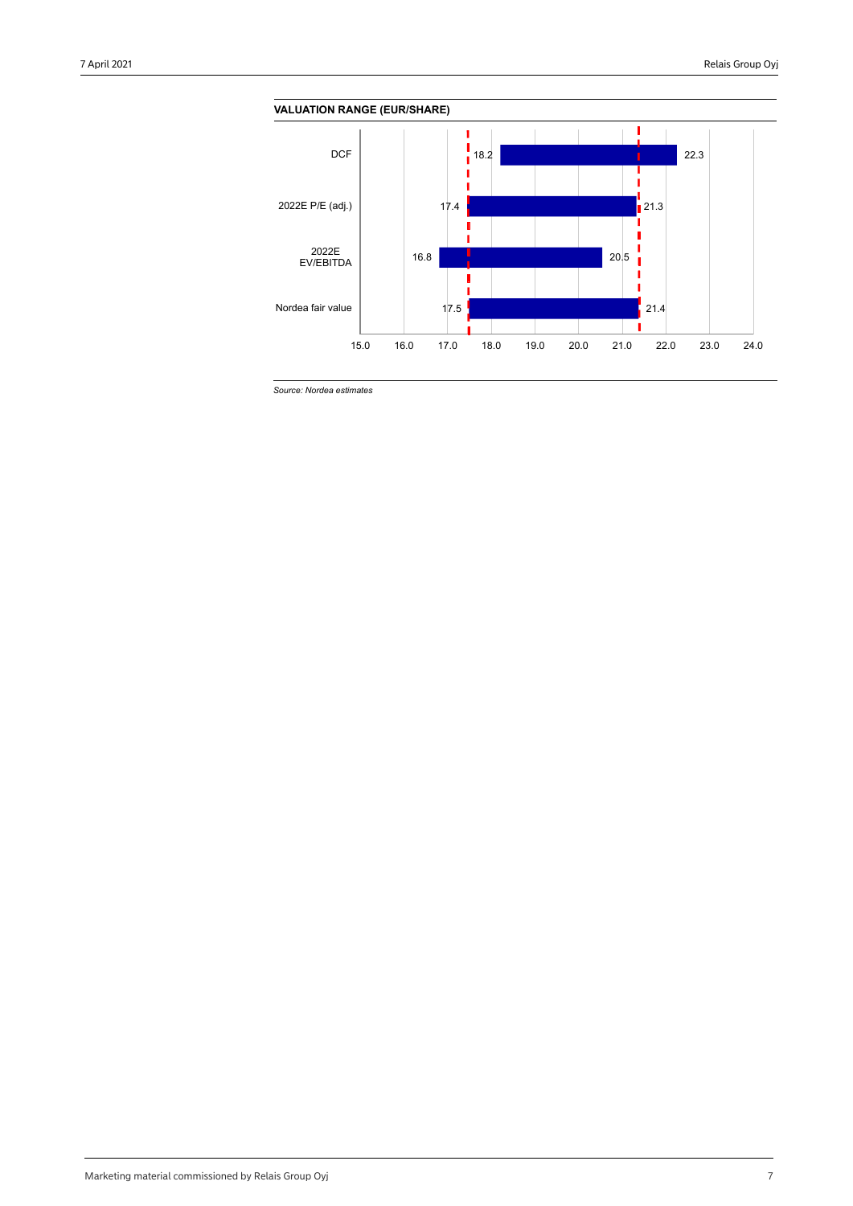

*Source: Nordea estimates*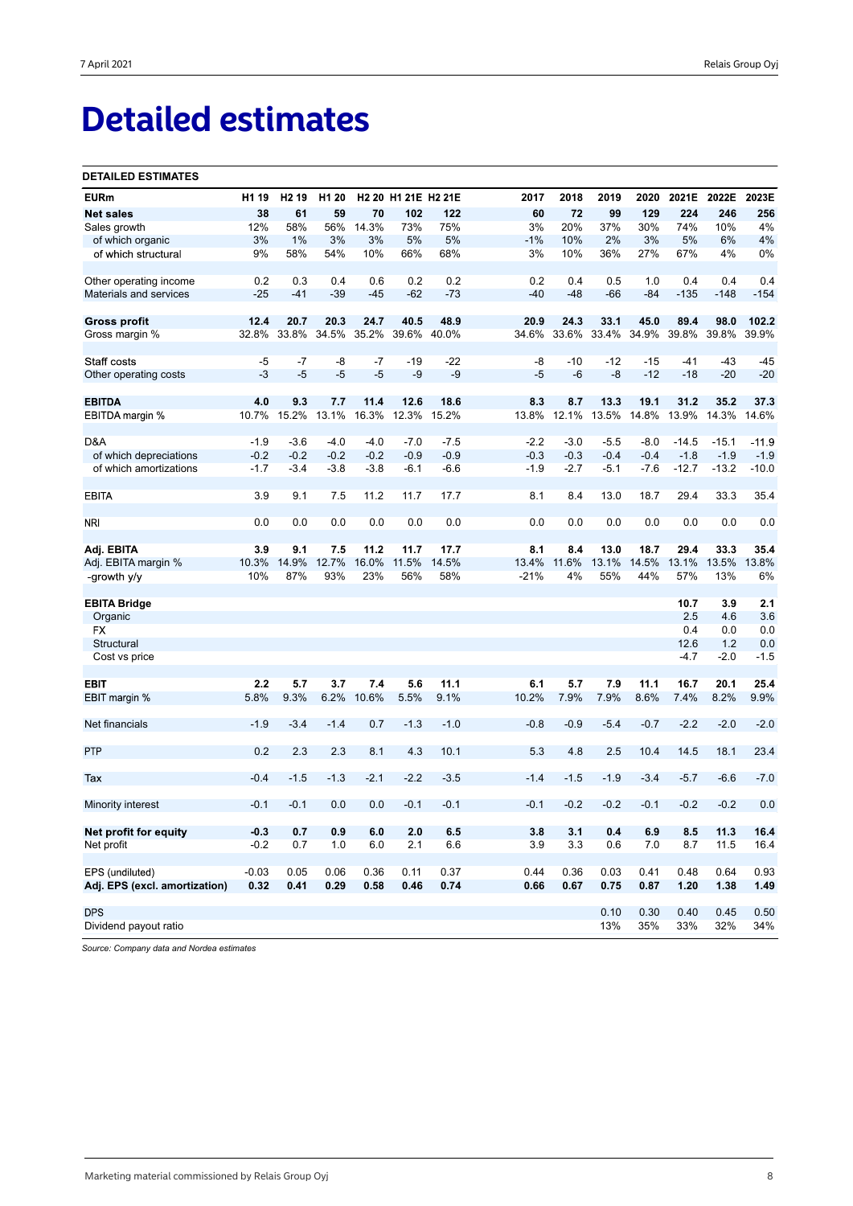# **Detailed estimates**

### **DETAILED ESTIMATES**

| <b>EURm</b>                   | H <sub>1</sub> 19 | H <sub>2</sub> 19 | H <sub>1</sub> 20 |        | H2 20 H1 21E H2 21E |        | 2017   | 2018   | 2019        | 2020   | 2021E   | 2022E   | 2023E   |
|-------------------------------|-------------------|-------------------|-------------------|--------|---------------------|--------|--------|--------|-------------|--------|---------|---------|---------|
| <b>Net sales</b>              | 38                | 61                | 59                | 70     | 102                 | 122    | 60     | 72     | 99          | 129    | 224     | 246     | 256     |
| Sales growth                  | 12%               | 58%               | 56%               | 14.3%  | 73%                 | 75%    | 3%     | 20%    | 37%         | 30%    | 74%     | 10%     | 4%      |
| of which organic              | 3%                | 1%                | 3%                | 3%     | 5%                  | 5%     | $-1%$  | 10%    | 2%          | 3%     | 5%      | 6%      | 4%      |
| of which structural           | 9%                | 58%               | 54%               | 10%    | 66%                 | 68%    | 3%     | 10%    | 36%         | 27%    | 67%     | 4%      | 0%      |
|                               |                   |                   |                   |        |                     |        |        |        |             |        |         |         |         |
| Other operating income        | 0.2               | 0.3               | 0.4               | 0.6    | 0.2                 | 0.2    | 0.2    | 0.4    | 0.5         | 1.0    | 0.4     | 0.4     | 0.4     |
| Materials and services        | $-25$             | $-41$             | $-39$             | $-45$  | $-62$               | $-73$  | $-40$  | $-48$  | $-66$       | $-84$  | $-135$  | $-148$  | $-154$  |
| <b>Gross profit</b>           | 12.4              | 20.7              | 20.3              | 24.7   | 40.5                | 48.9   | 20.9   | 24.3   | 33.1        | 45.0   | 89.4    | 98.0    | 102.2   |
| Gross margin %                | 32.8%             | 33.8%             | 34.5%             | 35.2%  | 39.6%               | 40.0%  | 34.6%  |        | 33.6% 33.4% | 34.9%  | 39.8%   | 39.8%   | 39.9%   |
| Staff costs                   | -5                | -7                | -8                | -7     | $-19$               | $-22$  | -8     | $-10$  | $-12$       | $-15$  | $-41$   | $-43$   | $-45$   |
|                               | $-3$              | $-5$              | $-5$              | $-5$   | $-9$                | $-9$   | $-5$   | $-6$   | -8          | $-12$  | $-18$   | $-20$   | $-20$   |
| Other operating costs         |                   |                   |                   |        |                     |        |        |        |             |        |         |         |         |
| <b>EBITDA</b>                 | 4.0               | 9.3               | 7.7               | 11.4   | 12.6                | 18.6   | 8.3    | 8.7    | 13.3        | 19.1   | 31.2    | 35.2    | 37.3    |
| EBITDA margin %               | 10.7%             | 15.2%             | 13.1%             | 16.3%  | 12.3%               | 15.2%  | 13.8%  | 12.1%  | 13.5%       | 14.8%  | 13.9%   | 14.3%   | 14.6%   |
|                               |                   |                   |                   |        |                     |        |        |        |             |        |         |         |         |
| D&A                           | $-1.9$            | $-3.6$            | $-4.0$            | $-4.0$ | $-7.0$              | $-7.5$ | $-2.2$ | $-3.0$ | $-5.5$      | $-8.0$ | $-14.5$ | $-15.1$ | $-11.9$ |
| of which depreciations        | $-0.2$            | $-0.2$            | $-0.2$            | $-0.2$ | $-0.9$              | $-0.9$ | $-0.3$ | $-0.3$ | $-0.4$      | $-0.4$ | $-1.8$  | $-1.9$  | $-1.9$  |
| of which amortizations        | $-1.7$            | $-3.4$            | $-3.8$            | $-3.8$ | -6.1                | $-6.6$ | $-1.9$ | $-2.7$ | $-5.1$      | $-7.6$ | $-12.7$ | $-13.2$ | $-10.0$ |
| <b>EBITA</b>                  | 3.9               | 9.1               | 7.5               | 11.2   | 11.7                | 17.7   | 8.1    | 8.4    | 13.0        | 18.7   | 29.4    | 33.3    | 35.4    |
|                               |                   |                   |                   |        |                     |        |        |        |             |        |         |         |         |
| <b>NRI</b>                    | 0.0               | 0.0               | 0.0               | 0.0    | 0.0                 | 0.0    | 0.0    | 0.0    | 0.0         | 0.0    | 0.0     | 0.0     | 0.0     |
| Adj. EBITA                    | 3.9               | 9.1               | 7.5               | 11.2   | 11.7                | 17.7   | 8.1    | 8.4    | 13.0        | 18.7   | 29.4    | 33.3    | 35.4    |
| Adj. EBITA margin %           | 10.3%             | 14.9%             | 12.7%             | 16.0%  | 11.5%               | 14.5%  | 13.4%  | 11.6%  | 13.1%       | 14.5%  | 13.1%   | 13.5%   | 13.8%   |
| -growth y/y                   | 10%               | 87%               | 93%               | 23%    | 56%                 | 58%    | $-21%$ | 4%     | 55%         | 44%    | 57%     | 13%     | 6%      |
| <b>EBITA Bridge</b>           |                   |                   |                   |        |                     |        |        |        |             |        | 10.7    | 3.9     | 2.1     |
| Organic                       |                   |                   |                   |        |                     |        |        |        |             |        | 2.5     | 4.6     | 3.6     |
| <b>FX</b>                     |                   |                   |                   |        |                     |        |        |        |             |        | 0.4     | 0.0     | 0.0     |
| Structural                    |                   |                   |                   |        |                     |        |        |        |             |        | 12.6    | 1.2     | 0.0     |
| Cost vs price                 |                   |                   |                   |        |                     |        |        |        |             |        | $-4.7$  | $-2.0$  | $-1.5$  |
|                               |                   |                   |                   |        |                     |        |        |        |             |        |         |         |         |
| <b>EBIT</b>                   | 2.2               | 5.7               | 3.7               | 7.4    | 5.6                 | 11.1   | 6.1    | 5.7    | 7.9         | 11.1   | 16.7    | 20.1    | 25.4    |
| EBIT margin %                 | 5.8%              | 9.3%              | 6.2%              | 10.6%  | 5.5%                | 9.1%   | 10.2%  | 7.9%   | 7.9%        | 8.6%   | 7.4%    | 8.2%    | 9.9%    |
| Net financials                | $-1.9$            | $-3.4$            | $-1.4$            | 0.7    | $-1.3$              | $-1.0$ | $-0.8$ | $-0.9$ | $-5.4$      | $-0.7$ | $-2.2$  | $-2.0$  | $-2.0$  |
|                               |                   |                   |                   |        |                     |        |        |        |             |        |         |         |         |
| <b>PTP</b>                    | 0.2               | 2.3               | 2.3               | 8.1    | 4.3                 | 10.1   | 5.3    | 4.8    | 2.5         | 10.4   | 14.5    | 18.1    | 23.4    |
|                               |                   |                   |                   |        |                     |        |        |        |             |        |         |         |         |
| Tax                           | $-0.4$            | $-1.5$            | $-1.3$            | $-2.1$ | $-2.2$              | $-3.5$ | $-1.4$ | $-1.5$ | $-1.9$      | $-3.4$ | $-5.7$  | $-6.6$  | $-7.0$  |
| Minority interest             | $-0.1$            | $-0.1$            | 0.0               | 0.0    | $-0.1$              | $-0.1$ | $-0.1$ | $-0.2$ | $-0.2$      | $-0.1$ | $-0.2$  | $-0.2$  | 0.0     |
|                               |                   |                   |                   |        |                     |        |        |        |             |        |         |         |         |
| Net profit for equity         | $-0.3$            | 0.7               | 0.9               | 6.0    | 2.0                 | 6.5    | 3.8    | 3.1    | 0.4         | 6.9    | 8.5     | 11.3    | 16.4    |
| Net profit                    | $-0.2$            | 0.7               | 1.0               | 6.0    | 2.1                 | 6.6    | 3.9    | 3.3    | 0.6         | 7.0    | 8.7     | 11.5    | 16.4    |
| EPS (undiluted)               | $-0.03$           | 0.05              | 0.06              | 0.36   | 0.11                | 0.37   | 0.44   | 0.36   | 0.03        | 0.41   | 0.48    | 0.64    | 0.93    |
| Adj. EPS (excl. amortization) | 0.32              | 0.41              | 0.29              | 0.58   | 0.46                | 0.74   | 0.66   | 0.67   | 0.75        | 0.87   | 1.20    | 1.38    | 1.49    |
|                               |                   |                   |                   |        |                     |        |        |        |             |        |         |         |         |
| <b>DPS</b>                    |                   |                   |                   |        |                     |        |        |        | 0.10        | 0.30   | 0.40    | 0.45    | 0.50    |
| Dividend payout ratio         |                   |                   |                   |        |                     |        |        |        | 13%         | 35%    | 33%     | 32%     | 34%     |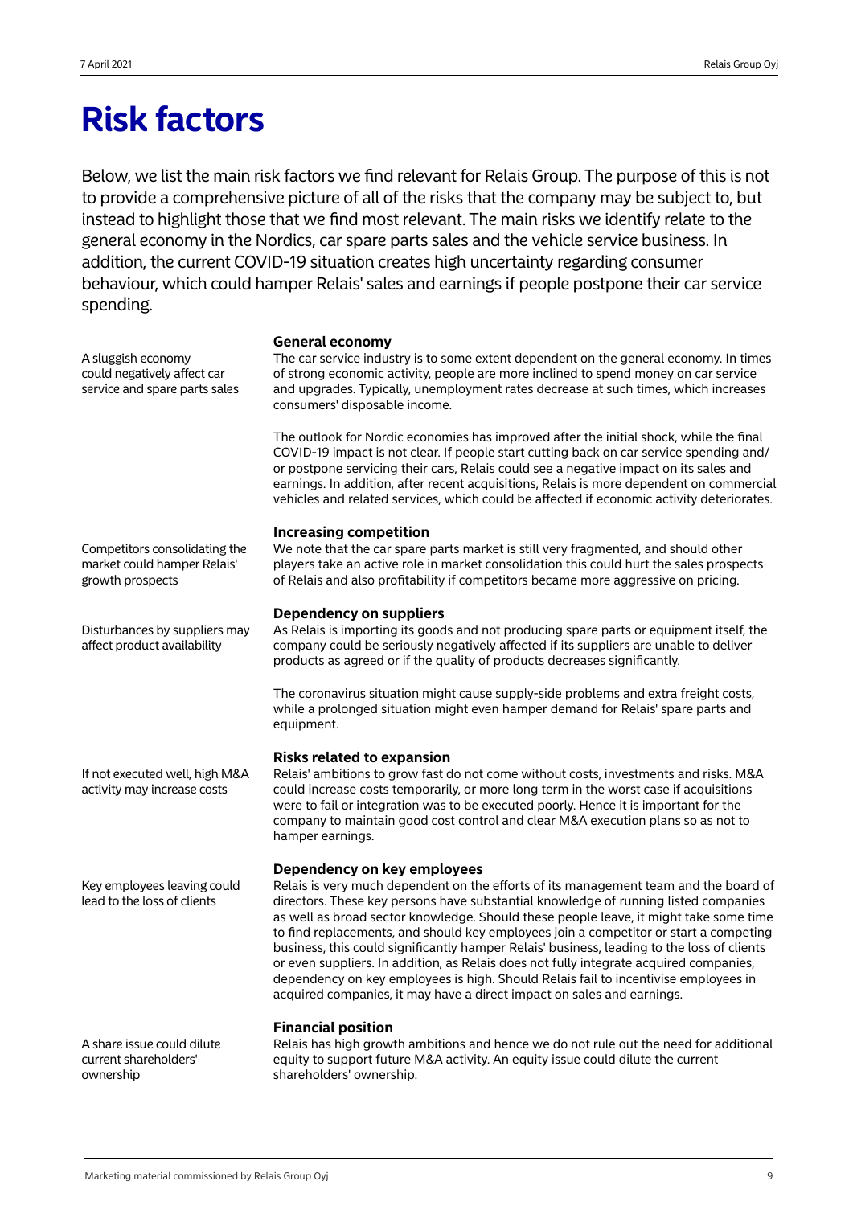## **Risk factors**

Below, we list the main risk factors we find relevant for Relais Group. The purpose of this is not to provide a comprehensive picture of all of the risks that the company may be subject to, but instead to highlight those that we find most relevant. The main risks we identify relate to the general economy in the Nordics, car spare parts sales and the vehicle service business. In addition, the current COVID-19 situation creates high uncertainty regarding consumer behaviour, which could hamper Relais' sales and earnings if people postpone their car service spending.

**General economy**

| A sluggish economy<br>could negatively affect car<br>service and spare parts sales | טכווכומו ככטווטוווץ<br>The car service industry is to some extent dependent on the general economy. In times<br>of strong economic activity, people are more inclined to spend money on car service<br>and upgrades. Typically, unemployment rates decrease at such times, which increases<br>consumers' disposable income.<br>The outlook for Nordic economies has improved after the initial shock, while the final<br>COVID-19 impact is not clear. If people start cutting back on car service spending and/<br>or postpone servicing their cars, Relais could see a negative impact on its sales and                                                                                                                                             |
|------------------------------------------------------------------------------------|-------------------------------------------------------------------------------------------------------------------------------------------------------------------------------------------------------------------------------------------------------------------------------------------------------------------------------------------------------------------------------------------------------------------------------------------------------------------------------------------------------------------------------------------------------------------------------------------------------------------------------------------------------------------------------------------------------------------------------------------------------|
|                                                                                    | earnings. In addition, after recent acquisitions, Relais is more dependent on commercial<br>vehicles and related services, which could be affected if economic activity deteriorates.<br><b>Increasing competition</b>                                                                                                                                                                                                                                                                                                                                                                                                                                                                                                                                |
| Competitors consolidating the<br>market could hamper Relais'<br>growth prospects   | We note that the car spare parts market is still very fragmented, and should other<br>players take an active role in market consolidation this could hurt the sales prospects<br>of Relais and also profitability if competitors became more aggressive on pricing.                                                                                                                                                                                                                                                                                                                                                                                                                                                                                   |
| Disturbances by suppliers may<br>affect product availability                       | <b>Dependency on suppliers</b><br>As Relais is importing its goods and not producing spare parts or equipment itself, the<br>company could be seriously negatively affected if its suppliers are unable to deliver<br>products as agreed or if the quality of products decreases significantly.                                                                                                                                                                                                                                                                                                                                                                                                                                                       |
|                                                                                    | The coronavirus situation might cause supply-side problems and extra freight costs,<br>while a prolonged situation might even hamper demand for Relais' spare parts and<br>equipment.                                                                                                                                                                                                                                                                                                                                                                                                                                                                                                                                                                 |
| If not executed well, high M&A<br>activity may increase costs                      | <b>Risks related to expansion</b><br>Relais' ambitions to grow fast do not come without costs, investments and risks. M&A<br>could increase costs temporarily, or more long term in the worst case if acquisitions<br>were to fail or integration was to be executed poorly. Hence it is important for the<br>company to maintain good cost control and clear M&A execution plans so as not to<br>hamper earnings.                                                                                                                                                                                                                                                                                                                                    |
| Key employees leaving could<br>lead to the loss of clients                         | Dependency on key employees<br>Relais is very much dependent on the efforts of its management team and the board of<br>directors. These key persons have substantial knowledge of running listed companies<br>as well as broad sector knowledge. Should these people leave, it might take some time<br>to find replacements, and should key employees join a competitor or start a competing<br>business, this could significantly hamper Relais' business, leading to the loss of clients<br>or even suppliers. In addition, as Relais does not fully integrate acquired companies,<br>dependency on key employees is high. Should Relais fail to incentivise employees in<br>acquired companies, it may have a direct impact on sales and earnings. |
| A share issue could dilute<br>current shareholders'                                | <b>Financial position</b><br>Relais has high growth ambitions and hence we do not rule out the need for additional<br>equity to support future M&A activity. An equity issue could dilute the current                                                                                                                                                                                                                                                                                                                                                                                                                                                                                                                                                 |

shareholders' ownership.

ownership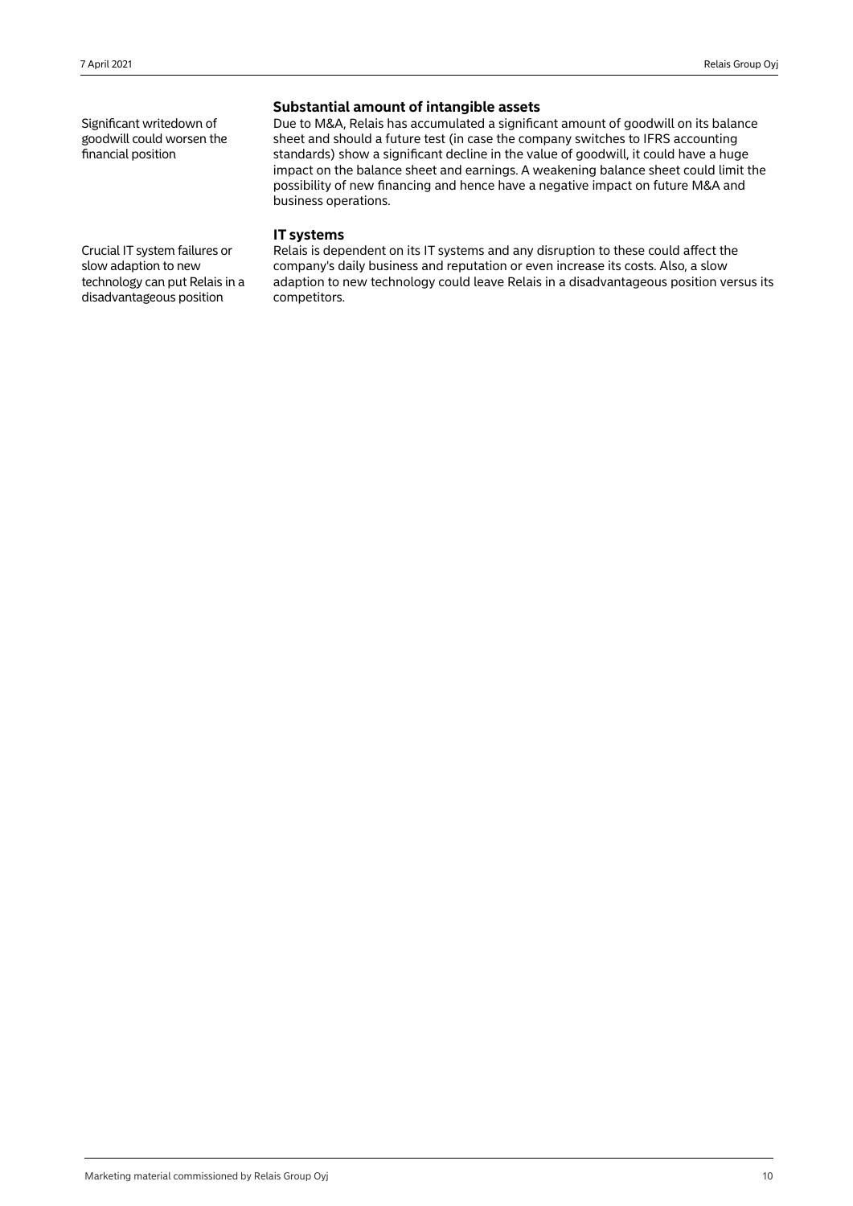Significant writedown of goodwill could worsen the financial position

## **Substantial amount of intangible assets**

Due to M&A, Relais has accumulated a significant amount of goodwill on its balance sheet and should a future test (in case the company switches to IFRS accounting standards) show a significant decline in the value of goodwill, it could have a huge impact on the balance sheet and earnings. A weakening balance sheet could limit the possibility of new financing and hence have a negative impact on future M&A and business operations.

## **IT systems**

Relais is dependent on its IT systems and any disruption to these could affect the company's daily business and reputation or even increase its costs. Also, a slow adaption to new technology could leave Relais in a disadvantageous position versus its competitors.

Crucial IT system failures or slow adaption to new technology can put Relais in a disadvantageous position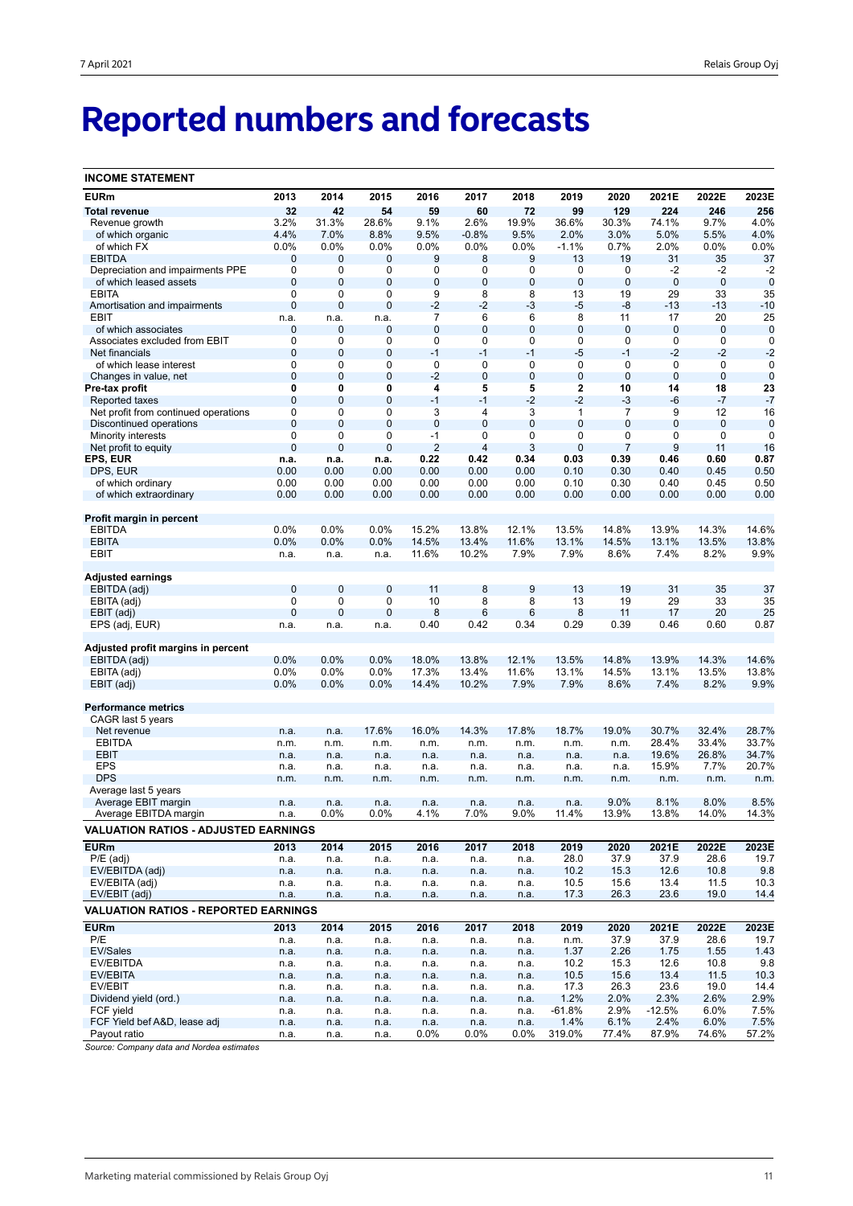# **Reported numbers and forecasts**

| <b>INCOME STATEMENT</b>                     |                  |                  |                  |                |                  |                  |                  |                               |                  |                            |                            |
|---------------------------------------------|------------------|------------------|------------------|----------------|------------------|------------------|------------------|-------------------------------|------------------|----------------------------|----------------------------|
| <b>EURm</b>                                 | 2013             | 2014             | 2015             | 2016           | 2017             | 2018             | 2019             | 2020                          | 2021E            | 2022E                      | 2023E                      |
| <b>Total revenue</b>                        | 32               | 42               | 54               | 59             | 60               | 72               | 99               | 129                           | 224              | 246                        | 256                        |
| Revenue growth                              | 3.2%             | 31.3%            | 28.6%            | 9.1%           | 2.6%             | 19.9%            | 36.6%            | 30.3%                         | 74.1%            | 9.7%                       | 4.0%                       |
| of which organic                            | 4.4%             | 7.0%             | 8.8%             | 9.5%           | $-0.8%$          | 9.5%             | 2.0%             | 3.0%                          | 5.0%             | 5.5%                       | 4.0%                       |
| of which FX                                 | 0.0%             | 0.0%             | 0.0%             | 0.0%           | 0.0%             | 0.0%             | $-1.1%$          | 0.7%                          | 2.0%             | 0.0%                       | 0.0%                       |
| <b>EBITDA</b>                               | 0                | $\mathbf{0}$     | 0                | 9              | 8                | 9                | 13               | 19                            | 31               | 35                         | 37                         |
| Depreciation and impairments PPE            | 0                | 0                | 0                | 0              | 0                | 0                | 0                | 0                             | -2               | $-2$                       | $-2$                       |
| of which leased assets                      | $\mathbf{0}$     | $\mathbf{0}$     | 0                | 0              | 0                | $\bf 0$          | $\bf 0$          | $\mathbf 0$                   | $\mathbf 0$      | $\overline{0}$             | $\mathbf 0$                |
| <b>EBITA</b>                                | $\mathbf 0$      | 0                | 0                | 9              | 8                | 8                | 13               | 19                            | 29               | 33                         | 35                         |
| Amortisation and impairments                | $\mathbf 0$      | $\mathbf 0$      | $\mathbf 0$      | $-2$           | $-2$             | $-3$             | $-5$             | -8                            | $-13$            | $-13$                      | $-10$                      |
| EBIT                                        | n.a.             | n.a.             | n.a.             | 7              | 6                | 6                | 8                | 11                            | 17               | 20                         | 25                         |
| of which associates                         | 0                | 0                | 0                | 0              | $\overline{0}$   | $\bf 0$          | 0                | $\mathbf 0$                   | 0                | $\mathbf 0$                | $\mathbf 0$                |
| Associates excluded from EBIT               | $\mathbf 0$      | 0                | 0                | 0              | 0                | 0                | 0                | 0                             | 0                | $\mathbf 0$                | 0                          |
| Net financials                              | $\mathbf 0$      | $\mathbf 0$      | $\mathbf 0$      | $-1$           | $-1$             | $-1$             | $-5$             | $-1$                          | $-2$             | $-2$                       | $-2$                       |
| of which lease interest                     | 0<br>$\mathbf 0$ | 0<br>$\mathbf 0$ | 0<br>$\mathbf 0$ | 0<br>$-2$      | 0<br>$\mathbf 0$ | 0<br>$\mathbf 0$ | 0<br>$\mathbf 0$ | $\mathbf 0$<br>$\overline{0}$ | 0<br>$\mathbf 0$ | $\mathbf 0$<br>$\mathbf 0$ | $\mathbf 0$<br>$\mathbf 0$ |
| Changes in value, net                       | 0                | 0                | 0                | 4              | 5                | 5                | 2                | 10                            | 14               | 18                         | 23                         |
| Pre-tax profit<br>Reported taxes            | $\mathbf{0}$     | $\mathbf 0$      | $\mathbf 0$      | $-1$           | $-1$             | $-2$             | $-2$             | $-3$                          | -6               | $-7$                       | $-7$                       |
| Net profit from continued operations        | 0                | 0                | 0                | 3              | 4                | 3                | 1                | 7                             | 9                | 12                         | 16                         |
| Discontinued operations                     | $\mathbf{0}$     | $\overline{0}$   | $\overline{0}$   | $\mathbf 0$    | $\overline{0}$   | $\overline{0}$   | $\overline{0}$   | $\mathbf{0}$                  | $\overline{0}$   | $\mathbf 0$                | $\mathbf 0$                |
| Minority interests                          | $\mathbf 0$      | 0                | 0                | $-1$           | 0                | 0                | 0                | 0                             | 0                | 0                          | 0                          |
| Net profit to equity                        | $\overline{0}$   | $\mathbf 0$      | $\mathbf 0$      | $\overline{2}$ | 4                | 3                | $\overline{0}$   | $\overline{7}$                | 9                | 11                         | 16                         |
| EPS, EUR                                    | n.a.             | n.a.             | n.a.             | 0.22           | 0.42             | 0.34             | 0.03             | 0.39                          | 0.46             | 0.60                       | 0.87                       |
| DPS, EUR                                    | 0.00             | 0.00             | 0.00             | 0.00           | 0.00             | 0.00             | 0.10             | 0.30                          | 0.40             | 0.45                       | 0.50                       |
| of which ordinary                           | 0.00             | 0.00             | 0.00             | 0.00           | 0.00             | 0.00             | 0.10             | 0.30                          | 0.40             | 0.45                       | 0.50                       |
| of which extraordinary                      | 0.00             | 0.00             | 0.00             | 0.00           | 0.00             | 0.00             | 0.00             | 0.00                          | 0.00             | 0.00                       | 0.00                       |
|                                             |                  |                  |                  |                |                  |                  |                  |                               |                  |                            |                            |
| Profit margin in percent                    |                  |                  |                  |                |                  |                  |                  |                               |                  |                            |                            |
| <b>EBITDA</b>                               | 0.0%             | 0.0%             | 0.0%             | 15.2%          | 13.8%            | 12.1%            | 13.5%            | 14.8%                         | 13.9%            | 14.3%                      | 14.6%                      |
| <b>EBITA</b>                                | 0.0%             | 0.0%             | 0.0%             | 14.5%          | 13.4%            | 11.6%            | 13.1%            | 14.5%                         | 13.1%            | 13.5%                      | 13.8%                      |
| EBIT                                        | n.a.             | n.a.             | n.a.             | 11.6%          | 10.2%            | 7.9%             | 7.9%             | 8.6%                          | 7.4%             | 8.2%                       | 9.9%                       |
|                                             |                  |                  |                  |                |                  |                  |                  |                               |                  |                            |                            |
| Adjusted earnings                           |                  |                  |                  |                |                  |                  |                  |                               |                  |                            |                            |
| EBITDA (adj)                                | $\mathbf{0}$     | $\mathbf 0$      | $\bf{0}$         | 11             | 8                | $9$              | 13               | 19                            | 31               | 35                         | 37                         |
| EBITA (adj)                                 | 0                | 0                | 0                | 10             | 8                | 8                | 13               | 19                            | 29               | 33                         | 35                         |
| EBIT (adj)                                  | $\overline{0}$   | $\overline{0}$   | $\mathbf 0$      | 8              | 6<br>0.42        | 6<br>0.34        | 8<br>0.29        | 11                            | 17               | 20                         | 25                         |
| EPS (adj, EUR)                              | n.a.             | n.a.             | n.a.             | 0.40           |                  |                  |                  | 0.39                          | 0.46             | 0.60                       | 0.87                       |
| Adjusted profit margins in percent          |                  |                  |                  |                |                  |                  |                  |                               |                  |                            |                            |
| EBITDA (adj)                                | 0.0%             | 0.0%             | 0.0%             | 18.0%          | 13.8%            | 12.1%            | 13.5%            | 14.8%                         | 13.9%            | 14.3%                      | 14.6%                      |
| EBITA (adj)                                 | 0.0%             | 0.0%             | 0.0%             | 17.3%          | 13.4%            | 11.6%            | 13.1%            | 14.5%                         | 13.1%            | 13.5%                      | 13.8%                      |
| EBIT (adj)                                  | 0.0%             | 0.0%             | 0.0%             | 14.4%          | 10.2%            | 7.9%             | 7.9%             | 8.6%                          | 7.4%             | 8.2%                       | 9.9%                       |
|                                             |                  |                  |                  |                |                  |                  |                  |                               |                  |                            |                            |
| <b>Performance metrics</b>                  |                  |                  |                  |                |                  |                  |                  |                               |                  |                            |                            |
| CAGR last 5 years                           |                  |                  |                  |                |                  |                  |                  |                               |                  |                            |                            |
| Net revenue                                 | n.a.             | n.a.             | 17.6%            | 16.0%          | 14.3%            | 17.8%            | 18.7%            | 19.0%                         | 30.7%            | 32.4%                      | 28.7%                      |
| <b>EBITDA</b>                               | n.m.             | n.m.             | n.m.             | n.m.           | n.m.             | n.m.             | n.m.             | n.m.                          | 28.4%            | 33.4%                      | 33.7%                      |
| <b>EBIT</b>                                 | n.a.             | n.a.             | n.a.             | n.a.           | n.a.             | n.a.             | n.a.             | n.a.                          | 19.6%            | 26.8%                      | 34.7%                      |
| <b>EPS</b>                                  | n.a.             | n.a.             | n.a.             | n.a.           | n.a.             | n.a.             | n.a.             | n.a.                          | 15.9%            | 7.7%                       | 20.7%                      |
| <b>DPS</b>                                  | n.m.             | n.m.             | n.m.             | n.m.           | n.m.             | n.m.             | n.m.             | n.m.                          | n.m.             | n.m.                       | n.m.                       |
| Average last 5 years                        |                  |                  |                  |                |                  |                  |                  |                               |                  |                            |                            |
| Average EBIT margin                         | n.a.             | n.a.             | n.a.             | n.a.           | n.a.             | n.a.             | n.a.             | 9.0%                          | 8.1%             | 8.0%                       | 8.5%                       |
| Average EBITDA margin                       | n.a.             | 0.0%             | $0.0\%$          | 4.1%           | 7.0%             | 9.0%             | 11.4%            | 13.9%                         | 13.8%            | 14.0%                      | 14.3%                      |
| <b>VALUATION RATIOS - ADJUSTED EARNINGS</b> |                  |                  |                  |                |                  |                  |                  |                               |                  |                            |                            |
| <b>EURm</b>                                 | 2013             | 2014             | 2015             | 2016           | 2017             | 2018             | 2019             | 2020                          | 2021E            | 2022E                      | 2023E                      |
| $P/E$ (adj)                                 | n.a.             | n.a.             | n.a.             | n.a.           | n.a.             | n.a.             | 28.0             | 37.9                          | 37.9             | 28.6                       | 19.7                       |
| EV/EBITDA (adj)                             | n.a.             | n.a.             | n.a.             | n.a.           | n.a.             | n.a.             | 10.2             | 15.3                          | 12.6             | 10.8                       | 9.8                        |
| EV/EBITA (adj)                              | n.a.             | n.a.             | n.a.             | n.a.           | n.a.             | n.a.             | 10.5             | 15.6                          | 13.4             | 11.5                       | 10.3                       |
| EV/EBIT (adj)                               | n.a.             | n.a.             | n.a.             | n.a.           | n.a.             | n.a.             | 17.3             | 26.3                          | 23.6             | 19.0                       | 14.4                       |
| <b>VALUATION RATIOS - REPORTED EARNINGS</b> |                  |                  |                  |                |                  |                  |                  |                               |                  |                            |                            |
| <b>EURm</b>                                 | 2013             | 2014             | 2015             | 2016           | 2017             | 2018             | 2019             | 2020                          | 2021E            | 2022E                      | 2023E                      |
| P/E                                         | n.a.             | n.a.             | n.a.             | n.a.           | n.a.             | n.a.             | n.m.             | 37.9                          | 37.9             | 28.6                       | 19.7                       |
| EV/Sales                                    | n.a.             | n.a.             | n.a.             | n.a.           | n.a.             | n.a.             | 1.37             | 2.26                          | 1.75             | 1.55                       | 1.43                       |
| EV/EBITDA                                   | n.a.             | n.a.             | n.a.             | n.a.           | n.a.             | n.a.             | 10.2             | 15.3                          | 12.6             | 10.8                       | 9.8                        |
| EV/EBITA                                    | n.a.             | n.a.             | n.a.             | n.a.           | n.a.             | n.a.             | 10.5             | 15.6                          | 13.4             | 11.5                       | 10.3                       |
| EV/EBIT                                     | n.a.             | n.a.             | n.a.             | n.a.           | n.a.             | n.a.             | 17.3             | 26.3                          | 23.6             | 19.0                       | 14.4                       |
| Dividend yield (ord.)                       | n.a.             | n.a.             | n.a.             | n.a.           | n.a.             | n.a.             | 1.2%             | 2.0%                          | 2.3%             | 2.6%                       | 2.9%                       |
| FCF yield                                   | n.a.             | n.a.             | n.a.             | n.a.           | n.a.             | n.a.             | $-61.8%$         | 2.9%                          | $-12.5%$         | 6.0%                       | 7.5%                       |
| FCF Yield bef A&D, lease adj                | n.a.             | n.a.             | n.a.             | n.a.           | n.a.             | n.a.             | 1.4%             | 6.1%                          | 2.4%             | 6.0%                       | 7.5%                       |
| Payout ratio                                | n.a.             | n.a.             | n.a.             | $0.0\%$        | $0.0\%$          | $0.0\%$          | 319.0%           | 77.4%                         | 87.9%            | 74.6%                      | 57.2%                      |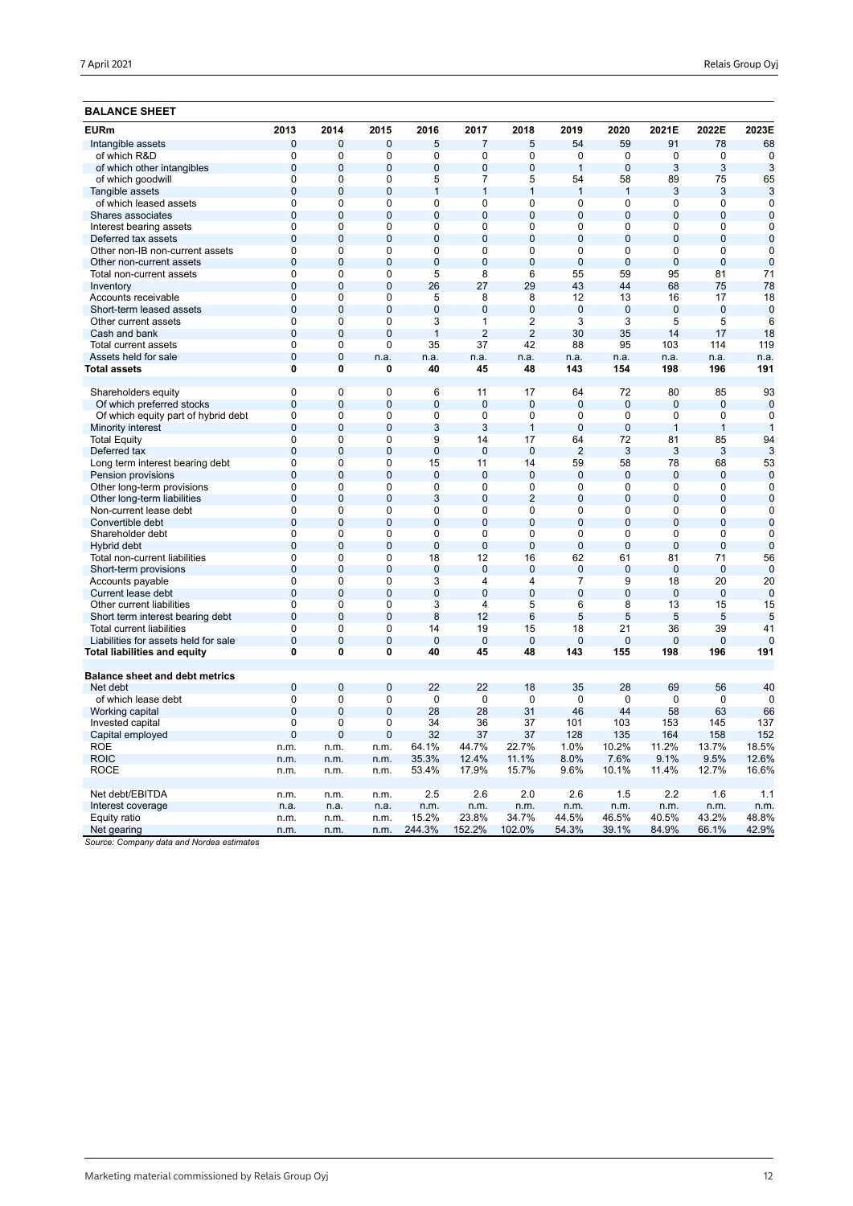| 7 April 2021<br>the contract of the contract of the contract of the contract of the contract of | Relais Group Oyj |
|-------------------------------------------------------------------------------------------------|------------------|
|-------------------------------------------------------------------------------------------------|------------------|

| <b>EURm</b>                                                          | 2013                             | 2014                          | 2015           | 2016                 | 2017                 | 2018               | 2019           | 2020            | 2021E           | 2022E                | 2023E          |
|----------------------------------------------------------------------|----------------------------------|-------------------------------|----------------|----------------------|----------------------|--------------------|----------------|-----------------|-----------------|----------------------|----------------|
| Intangible assets                                                    | $\mathbf 0$                      | $\mathbf 0$                   | 0              | 5                    | $\overline{7}$       | 5                  | 54             | 59              | 91              | 78                   | 68             |
| of which R&D                                                         | $\mathbf 0$                      | $\mathbf 0$                   | 0              | 0                    | $\mathbf 0$          | $\mathbf 0$        | 0              | $\mathbf 0$     | $\mathbf 0$     | $\mathbf 0$          | $\Omega$       |
| of which other intangibles                                           | $\overline{0}$                   | $\overline{0}$                | $\mathbf{0}$   | $\overline{0}$       | $\overline{0}$       | $\mathbf{0}$       | $\overline{1}$ | $\overline{0}$  | 3               | 3                    | 3              |
| of which goodwill                                                    | $\mathbf 0$                      | $\Omega$                      | $\Omega$       | 5                    | $\overline{7}$       | 5                  | 54             | 58              | 89              | 75                   | 65             |
| Tangible assets                                                      | $\overline{0}$                   | $\overline{0}$                | $\mathbf{0}$   | $\mathbf{1}$         | $\mathbf{1}$         | $\mathbf{1}$       | $\overline{1}$ | $\mathbf{1}$    | 3               | 3                    | 3              |
| of which leased assets                                               | $\overline{0}$                   | $\overline{0}$                | $\overline{0}$ | $\overline{0}$       | $\overline{0}$       | $\overline{0}$     | 0              | $\overline{0}$  | $\overline{0}$  | $\overline{0}$       | $\Omega$       |
| Shares associates                                                    | $\mathbf 0$                      | $\mathbf{0}$                  | $\overline{0}$ | $\overline{0}$       | $\overline{0}$       | $\overline{0}$     | $\overline{0}$ | $\overline{0}$  | $\overline{0}$  | $\overline{0}$       | $\Omega$       |
| Interest bearing assets                                              | $\overline{0}$                   | $\overline{0}$                | $\overline{0}$ | $\overline{0}$       | $\overline{0}$       | $\overline{0}$     | 0              | $\overline{0}$  | $\overline{0}$  | $\overline{0}$       | 0              |
| Deferred tax assets                                                  | $\mathbf 0$                      | $\overline{0}$                | $\mathbf{0}$   | $\overline{0}$       | $\Omega$             | $\mathbf{0}$       | $\overline{0}$ | $\Omega$        | $\overline{0}$  | $\overline{0}$       | $\mathbf 0$    |
| Other non-IB non-current assets                                      | $\mathbf 0$                      | $\mathbf 0$                   | 0              | 0                    | 0                    | 0                  | 0              | $\mathbf 0$     | 0               | 0                    | $\mathbf 0$    |
| Other non-current assets                                             | $\overline{0}$                   | $\overline{0}$                | $\mathbf{0}$   | $\overline{0}$       | $\overline{0}$       | $\overline{0}$     | $\overline{0}$ | $\Omega$        | $\overline{0}$  | $\overline{0}$       | $\mathbf 0$    |
| Total non-current assets                                             | $\mathbf 0$                      | 0                             | 0              | 5                    | 8                    | 6                  | 55             | 59              | 95              | 81                   | 71             |
| Inventory                                                            | $\overline{0}$                   | $\mathbf{0}$                  | $\overline{0}$ | 26                   | 27                   | 29                 | 43             | 44              | 68              | 75                   | 78             |
| Accounts receivable                                                  | $\Omega$                         | $\overline{0}$                | $\Omega$       | 5                    | 8                    | 8                  | 12             | 13              | 16              | 17                   | 18             |
| Short-term leased assets                                             | $\overline{0}$                   | $\overline{0}$                | $\overline{0}$ | $\overline{0}$       | $\overline{0}$       | $\overline{0}$     | $\overline{0}$ | $\overline{0}$  | $\overline{0}$  | $\overline{0}$       | $\overline{0}$ |
| Other current assets                                                 | $\overline{0}$                   | $\mathbf 0$                   | 0              | 3                    | 1                    | $\overline{2}$     | 3              | 3               | 5               | 5                    | 6              |
| Cash and bank                                                        | $\overline{0}$                   | $\overline{0}$                | $\overline{0}$ | $\mathbf{1}$         | $\overline{2}$       | $\overline{2}$     | 30             | 35              | 14              | 17                   | 18             |
| Total current assets                                                 | $\mathbf 0$                      | $\mathbf 0$                   | 0              | 35                   | 37                   | 42                 | 88             | 95              | 103             | 114                  | 119            |
| Assets held for sale                                                 | $\mathbf 0$                      | $\mathbf 0$                   | n.a.           | n.a.                 | n.a.                 | n.a.               | n.a.           | n.a.            | n.a.            | n.a.                 | n.a.           |
| Total assets                                                         | $\overline{\mathbf{0}}$          | 0                             | 0              | 40                   | 45                   | 48                 | 143            | 154             | 198             | 196                  | 191            |
|                                                                      |                                  |                               |                |                      |                      |                    |                |                 |                 |                      |                |
| Shareholders equity                                                  | $\overline{0}$                   | $\overline{0}$                | 0              | 6                    | 11                   | 17                 | 64             | 72              | 80              | 85                   | 93             |
| Of which preferred stocks                                            | $\overline{0}$                   | $\mathbf{0}$                  | $\mathbf{0}$   | $\overline{0}$       | $\overline{0}$       | $\Omega$           | $\Omega$       | $\Omega$        | $\Omega$        | $\mathbf{0}$         | $\mathbf 0$    |
| Of which equity part of hybrid debt                                  | $\overline{0}$                   | $\overline{0}$                | $\overline{0}$ | $\overline{0}$       | $\overline{0}$       | $\mathbf 0$        | 0              | $\overline{0}$  | $\overline{0}$  | $\overline{0}$       | 0              |
| Minority interest                                                    | $\overline{0}$                   | $\overline{0}$                | $\mathbf{0}$   | 3                    | 3                    | $\mathbf{1}$       | $\mathbf{0}$   | $\Omega$        | $\mathbf{1}$    | $\mathbf{1}$         | 1              |
| <b>Total Equity</b>                                                  | $\overline{0}$                   | $\mathbf 0$                   | 0              | 9                    | 14                   | 17                 | 64             | 72              | 81              | 85                   | 94             |
| Deferred tax                                                         | $\overline{0}$                   | $\overline{0}$                | $\overline{0}$ | $\overline{0}$       | $\overline{0}$       | $\overline{0}$     | $\overline{2}$ | 3               | 3               | 3                    | 3              |
| Long term interest bearing debt                                      | $\mathbf 0$                      | 0                             | 0              | 15                   | 11                   | 14                 | 59             | 58              | 78              | 68                   | 53             |
| Pension provisions                                                   | $\overline{0}$                   | $\overline{0}$                | $\overline{0}$ | $\overline{0}$       | $\overline{0}$       | $\overline{0}$     | $\Omega$       | $\overline{0}$  | $\overline{0}$  | $\overline{0}$       | $\Omega$       |
| Other long-term provisions                                           | $\mathbf 0$                      | $\mathbf 0$                   | 0              | 0                    | $\Omega$             | $\mathbf 0$        | 0              | $\mathbf 0$     | 0               | 0                    | $\Omega$       |
| Other long-term liabilities                                          | $\overline{0}$                   | $\overline{0}$                | $\mathbf{0}$   | 3                    | $\overline{0}$       | $\overline{2}$     | $\overline{0}$ | $\overline{0}$  | $\overline{0}$  | $\overline{0}$       | $\mathbf 0$    |
| Non-current lease debt                                               | $\mathbf 0$                      | $\Omega$                      | $\Omega$       | $\Omega$             | $\Omega$             | $\Omega$           | 0              | $\Omega$        | $\Omega$        | $\Omega$             | $\Omega$       |
| Convertible debt                                                     | $\overline{0}$                   | $\overline{0}$                | $\overline{0}$ | $\overline{0}$       | $\overline{0}$       | $\overline{0}$     | $\overline{0}$ | $\overline{0}$  | $\overline{0}$  | $\overline{0}$       | $\mathbf 0$    |
| Shareholder debt                                                     | $\overline{0}$                   | $\overline{0}$                | $\overline{0}$ | $\overline{0}$       | $\overline{0}$       | $\overline{0}$     | $\overline{0}$ | $\overline{0}$  | $\overline{0}$  | $\overline{0}$       | 0              |
| Hybrid debt                                                          | $\overline{0}$                   | $\mathbf 0$                   | $\overline{0}$ | $\overline{0}$       | $\overline{0}$       | $\overline{0}$     | $\overline{0}$ | $\mathbf{0}$    | $\overline{0}$  | $\overline{0}$       | $\mathbf 0$    |
| Total non-current liabilities                                        | $\overline{0}$                   | $\overline{0}$                | $\overline{0}$ | 18                   | 12                   | 16                 | 62             | 61              | 81              | 71                   | 56             |
| Short-term provisions                                                | $\mathbf 0$                      | $\overline{0}$                | $\mathbf 0$    | $\mathbf 0$          | $\Omega$             | $\mathbf 0$        | $\overline{0}$ | $\mathbf 0$     | $\overline{0}$  | $\mathbf 0$          | $\Omega$       |
| Accounts payable                                                     | $\overline{0}$                   | $\mathbf 0$                   | 0              | 3                    | $\overline{4}$       | 4                  | 7              | 9               | 18              | 20                   | 20             |
| Current lease debt                                                   | $\overline{0}$                   | $\mathbf{0}$                  | $\mathbf{0}$   | 0                    | $\overline{0}$       | $\mathbf{0}$       | $\Omega$       | $\mathbf 0$     | $\mathbf 0$     | $\mathbf 0$          | $\Omega$       |
| Other current liabilities                                            | $\mathbf 0$                      | $\mathbf 0$                   | 0              | 3                    | $\overline{4}$       | 5                  | 6              | 8               | 13              | 15                   | 15             |
| Short term interest bearing debt                                     | $\mathbf 0$                      | $\mathbf{0}$                  | $\mathbf{0}$   | 8                    | 12                   | 6                  | 5              | 5               | 5               | 5                    | 5              |
| <b>Total current liabilities</b>                                     | $\overline{0}$<br>$\overline{0}$ | $\mathbf 0$<br>$\overline{0}$ | 0              | 14<br>$\overline{0}$ | 19<br>$\overline{0}$ | 15                 | 18             | 21              | 36              | 39<br>$\overline{0}$ | 41<br>$\Omega$ |
| Liabilities for assets held for sale<br>Total liabilities and equity | 0                                | $\mathbf{0}$                  | 0<br>0         | 40                   | 45                   | $\mathbf{0}$<br>48 | 0<br>143       | $\Omega$<br>155 | $\Omega$<br>198 | 196                  | 191            |
|                                                                      |                                  |                               |                |                      |                      |                    |                |                 |                 |                      |                |
| <b>Balance sheet and debt metrics</b>                                |                                  |                               |                |                      |                      |                    |                |                 |                 |                      |                |
| Net debt                                                             | $\overline{0}$                   | $\overline{0}$                | $\overline{0}$ | 22                   | 22                   | 18                 | 35             | 28              | 69              | 56                   | 40             |
| of which lease debt                                                  | $\mathbf 0$                      | $\mathbf 0$                   | 0              | $\mathbf 0$          | $\mathbf 0$          | $\mathbf 0$        | 0              | $\mathbf 0$     | $\mathbf 0$     | 0                    | $\Omega$       |
| Working capital                                                      | $\overline{0}$                   | $\mathbf{0}$                  | $\mathbf{0}$   | 28                   | 28                   | 31                 | 46             | 44              | 58              | 63                   | 66             |
| Invested capital                                                     | $\mathbf 0$                      | $\mathbf 0$                   | 0              | 34                   | 36                   | 37                 | 101            | 103             | 153             | 145                  | 137            |
| Capital employed                                                     | $\overline{0}$                   | $\overline{0}$                | $\mathbf{0}$   | 32                   | 37                   | 37                 | 128            | 135             | 164             | 158                  | 152            |
| <b>ROE</b>                                                           | n.m.                             | n.m.                          | n.m.           | 64.1%                | 44.7%                | 22.7%              | 1.0%           | 10.2%           | 11.2%           | 13.7%                | 18.5%          |
| <b>ROIC</b>                                                          | n.m.                             | n.m.                          | n.m.           | 35.3%                | 12.4%                | 11.1%              | 8.0%           | 7.6%            | 9.1%            | 9.5%                 | 12.6%          |
| <b>ROCE</b>                                                          | n.m.                             | n.m.                          | n.m.           | 53.4%                | 17.9%                | 15.7%              | 9.6%           | 10.1%           | 11.4%           | 12.7%                | 16.6%          |
| Net debt/EBITDA                                                      | n.m.                             | n.m.                          | n.m.           | 2.5                  | 2.6                  | 2.0                | 2.6            | 1.5             | 2.2             | 1.6                  | 1.1            |
| Interest coverage                                                    | n.a.                             | n.a.                          | n.a.           | n.m.                 | n.m.                 | n.m.               | n.m.           | n.m.            | n.m.            | n.m.                 | n.m.           |
| Equity ratio                                                         | n.m.                             | n.m.                          | n.m.           | 15.2%                | 23.8%                | 34.7%              | 44.5%          | 46.5%           | 40.5%           | 43.2%                | 48.8%          |
| Net gearing                                                          | n.m.                             | n.m.                          | n.m.           | 244.3%               | 152.2%               | 102.0%             | 54.3%          | 39.1%           | 84.9%           | 66.1%                | 42.9%          |
|                                                                      |                                  |                               |                |                      |                      |                    |                |                 |                 |                      |                |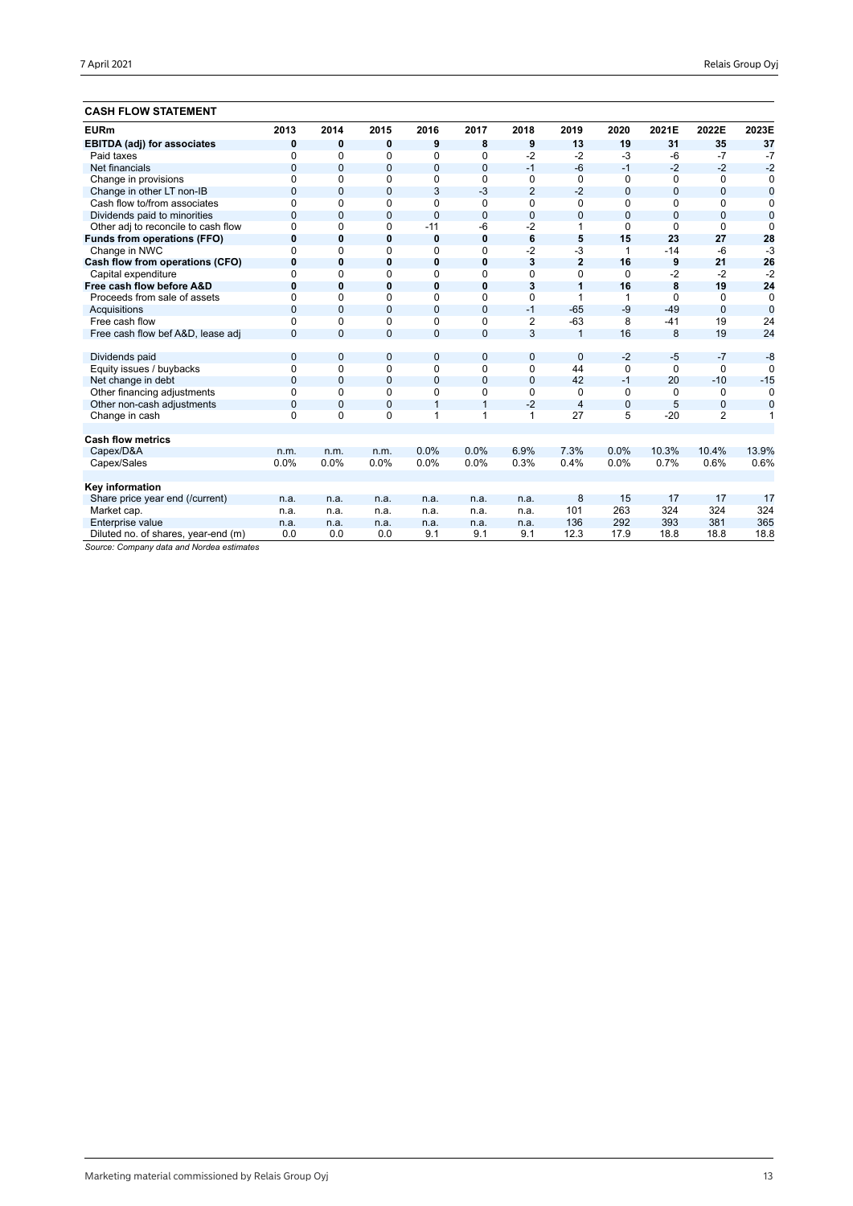## **CASH FLOW STATEMENT**

| <b>EURm</b>                         | 2013         | 2014           | 2015           | 2016           | 2017           | 2018           | 2019                    | 2020           | 2021E          | 2022E          | 2023E          |
|-------------------------------------|--------------|----------------|----------------|----------------|----------------|----------------|-------------------------|----------------|----------------|----------------|----------------|
| <b>EBITDA (adj) for associates</b>  | $\mathbf 0$  | $\bf{0}$       | 0              | 9              | 8              | 9              | 13                      | 19             | 31             | 35             | 37             |
| Paid taxes                          | $\Omega$     | $\Omega$       | $\Omega$       | 0              | $\Omega$       | $-2$           | $-2$                    | $-3$           | $-6$           | $-7$           | $-7$           |
| Net financials                      | $\Omega$     | $\Omega$       | $\overline{0}$ | $\overline{0}$ | $\mathbf{0}$   | $-1$           | $-6$                    | $-1$           | $-2$           | $-2$           | $-2$           |
| Change in provisions                | $\Omega$     | $\Omega$       | $\Omega$       | 0              | $\Omega$       | $\mathbf 0$    | $\Omega$                | $\Omega$       | $\Omega$       | $\Omega$       | 0              |
| Change in other LT non-IB           | $\mathbf{0}$ | $\overline{0}$ | $\overline{0}$ | 3              | $-3$           | $\overline{2}$ | $-2$                    | $\overline{0}$ | $\overline{0}$ | $\overline{0}$ | $\mathbf 0$    |
| Cash flow to/from associates        | $\Omega$     | 0              | 0              | 0              | 0              | 0              | 0                       | 0              | 0              | 0              | 0              |
| Dividends paid to minorities        | $\mathbf 0$  | $\overline{0}$ | $\mathbf{0}$   | $\overline{0}$ | $\mathbf{0}$   | $\mathbf{0}$   | $\overline{0}$          | $\overline{0}$ | $\overline{0}$ | $\mathbf{0}$   | $\overline{0}$ |
| Other adj to reconcile to cash flow | $\Omega$     | $\Omega$       | 0              | $-11$          | -6             | $-2$           | 1                       | $\Omega$       | $\Omega$       | $\Omega$       | $\Omega$       |
| Funds from operations (FFO)         | $\mathbf 0$  | $\bf{0}$       | $\mathbf 0$    | 0              | $\mathbf 0$    | 6              | 5                       | 15             | 23             | 27             | 28             |
| Change in NWC                       | $\Omega$     | $\Omega$       | $\Omega$       | 0              | $\Omega$       | $-2$           | $-3$                    | 1              | $-14$          | $-6$           | $-3$           |
| Cash flow from operations (CFO)     | $\bf{0}$     | $\bf{0}$       | $\mathbf 0$    | 0              | $\bf{0}$       | 3              | $\overline{2}$          | 16             | 9              | 21             | 26             |
| Capital expenditure                 | $\Omega$     | $\Omega$       | $\Omega$       | 0              | $\Omega$       | 0              | $\Omega$                | 0              | $-2$           | $-2$           | $-2$           |
| Free cash flow before A&D           | $\bf{0}$     | 0              | 0              | 0              | 0              | 3              | 1                       | 16             | 8              | 19             | 24             |
| Proceeds from sale of assets        | $\Omega$     | $\Omega$       | $\Omega$       | 0              | $\Omega$       | $\Omega$       | 1                       | 1              | $\Omega$       | $\Omega$       | $\Omega$       |
| Acquisitions                        | $\Omega$     | $\Omega$       | $\Omega$       | 0              | $\mathbf{0}$   | $-1$           | $-65$                   | $-9$           | $-49$          | $\Omega$       | $\Omega$       |
| Free cash flow                      | $\Omega$     | $\Omega$       | $\Omega$       | 0              | $\Omega$       | $\overline{2}$ | $-63$                   | 8              | $-41$          | 19             | 24             |
| Free cash flow bef A&D, lease adj   | $\Omega$     | $\Omega$       | $\overline{0}$ | 0              | $\overline{0}$ | 3              | $\overline{1}$          | 16             | 8              | 19             | 24             |
|                                     |              |                |                |                |                |                |                         |                |                |                |                |
| Dividends paid                      | $\mathbf{0}$ | $\mathbf{0}$   | $\mathbf{0}$   | 0              | 0              | $\mathbf 0$    | $\mathbf{0}$            | $-2$           | $-5$           | $-7$           | $-8$           |
| Equity issues / buybacks            | $\mathbf 0$  | $\Omega$       | 0              | 0              | $\Omega$       | 0              | 44                      | $\Omega$       | $\Omega$       | $\Omega$       | $\Omega$       |
| Net change in debt                  | $\mathbf{0}$ | $\Omega$       | $\overline{0}$ | $\overline{0}$ | $\mathbf{0}$   | $\mathbf{0}$   | 42                      | $-1$           | 20             | $-10$          | $-15$          |
| Other financing adjustments         | $\Omega$     | $\Omega$       | 0              | 0              | $\Omega$       | 0              | $\Omega$                | 0              | $\Omega$       | 0              | $\Omega$       |
| Other non-cash adjustments          | $\mathbf{0}$ | $\overline{0}$ | $\overline{0}$ | $\mathbf{1}$   | $\mathbf{1}$   | $-2$           | $\overline{\mathbf{4}}$ | $\mathbf 0$    | 5              | 0              | $\mathbf 0$    |
| Change in cash                      | $\Omega$     | $\Omega$       | $\Omega$       | 1              | 1              | 1              | 27                      | 5              | $-20$          | $\overline{2}$ | 1              |
|                                     |              |                |                |                |                |                |                         |                |                |                |                |
| <b>Cash flow metrics</b>            |              |                |                |                |                |                |                         |                |                |                |                |
| Capex/D&A                           | n.m.         | n.m.           | n.m.           | 0.0%           | 0.0%           | 6.9%           | 7.3%                    | 0.0%           | 10.3%          | 10.4%          | 13.9%          |
| Capex/Sales                         | 0.0%         | 0.0%           | 0.0%           | 0.0%           | 0.0%           | 0.3%           | 0.4%                    | 0.0%           | 0.7%           | 0.6%           | 0.6%           |
|                                     |              |                |                |                |                |                |                         |                |                |                |                |
| Key information                     |              |                |                |                |                |                |                         |                |                |                |                |
| Share price year end (/current)     | n.a.         | n.a.           | n.a.           | n.a.           | n.a.           | n.a.           | 8                       | 15             | 17             | 17             | 17             |
| Market cap.                         | n.a.         | n.a.           | n.a.           | n.a.           | n.a.           | n.a.           | 101                     | 263            | 324            | 324            | 324            |
| Enterprise value                    | n.a.         | n.a.           | n.a.           | n.a.           | n.a.           | n.a.           | 136                     | 292            | 393            | 381            | 365            |
| Diluted no. of shares, year-end (m) | 0.0          | 0.0            | 0.0            | 9.1            | 9.1            | 9.1            | 12.3                    | 17.9           | 18.8           | 18.8           | 18.8           |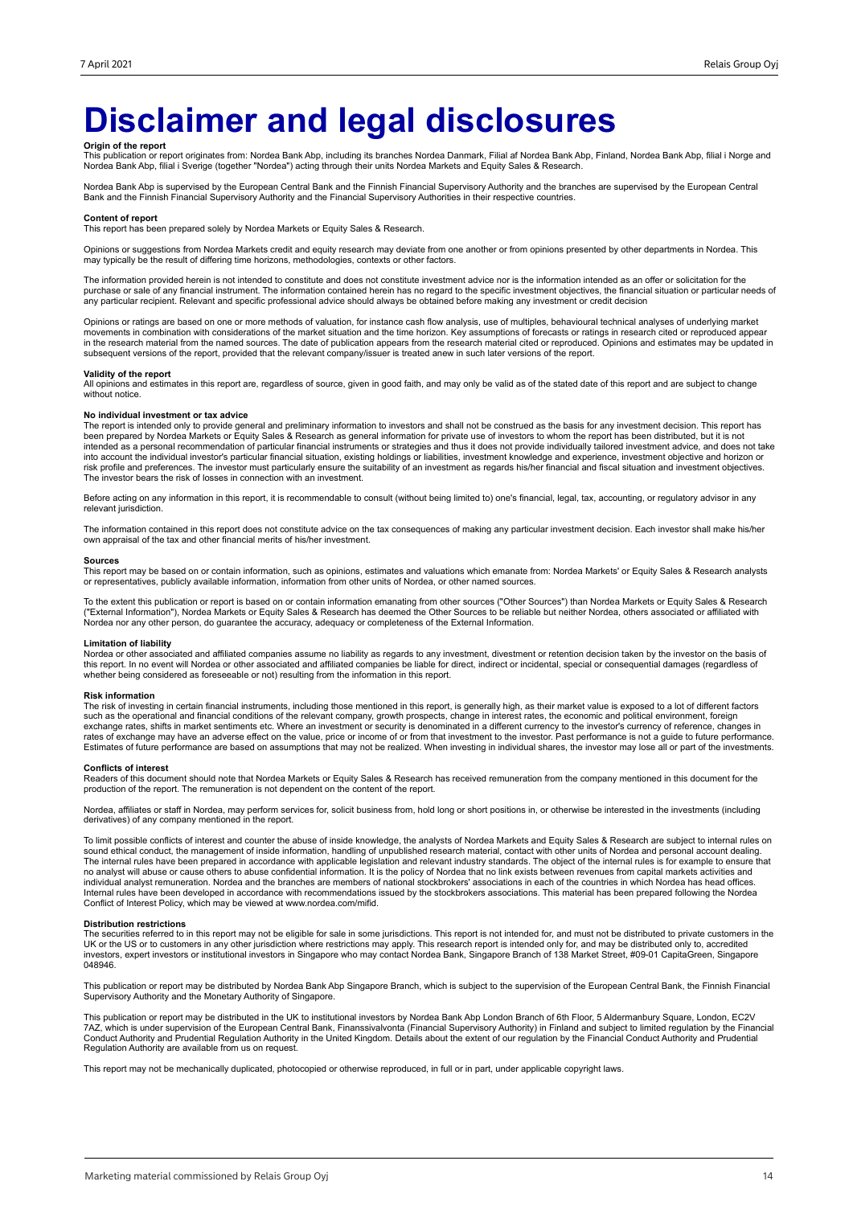## **Disclaimer and legal disclosures**

**Origin of the report**<br>This publication or report originates from: Nordea Bank Abp, including its branches Nordea Danmark, Filial af Nordea Bank Abp, Mordea Bank Abp, filial i Norge and<br>Nordea Bank Abp, filial i Sverige (t

Nordea Bank Abp is supervised by the European Central Bank and the Finnish Financial Supervisory Authority and the branches are supervised by the European Central Bank and the Finnish Financial Supervisory Authority and the Financial Supervisory Authorities in their respective countries.

#### **Content of report**

This report has been prepared solely by Nordea Markets or Equity Sales & Research.

Opinions or suggestions from Nordea Markets credit and equity research may deviate from one another or from opinions presented by other departments in Nordea. This may typically be the result of differing time horizons, methodologies, contexts or other factors.

The information provided herein is not intended to constitute and does not constitute investment advice nor is the information intended as an offer or solicitation for the purchase or sale of any financial instrument. The information contained herein has no regard to the specific investment objectives, the financial situation or particular needs of any particular recipient. Relevant and specific professional advice should always be obtained before making any investment or credit decision

Opinions or ratings are based on one or more methods of valuation, for instance cash flow analysis, use of multiples, behavioural technical analyses of underlying market movements in combination with considerations of the market situation and the time horizon. Key assumptions of forecasts or ratings in research cited or reproduced appear<br>in the research material from the named sources. The subsequent versions of the report, provided that the relevant company/issuer is treated anew in such later versions of the report.

### **Validity of the report**

All opinions and estimates in this report are, regardless of source, given in good faith, and may only be valid as of the stated date of this report and are subject to change without notice.

#### **No individual investment or tax advice**

The report is intended only to provide general and preliminary information to investors and shall not be construed as the basis for any investment decision. This report has<br>been prepared by Nordea Markets or Equity Sales & into account the individual investor's particular financial situation, existing holdings or liabilities, investment knowledge and experience, investment objective and horizon or<br>risk profile and preferences. The investor m The investor bears the risk of losses in connection with an investment.

Before acting on any information in this report, it is recommendable to consult (without being limited to) one's financial, legal, tax, accounting, or regulatory advisor in any relevant jurisdiction.

The information contained in this report does not constitute advice on the tax consequences of making any particular investment decision. Each investor shall make his/her own appraisal of the tax and other financial merits of his/her investment.

#### **Sources**

This report may be based on or contain information, such as opinions, estimates and valuations which emanate from: Nordea Markets' or Equity Sales & Research analysts or representatives, publicly available information, information from other units of Nordea, or other named sources.

To the extent this publication or report is based on or contain information emanating from other sources ("Other Sources") than Nordea Markets or Equity Sales & Research<br>("External Information"), Nordea Markets or Equity S Nordea nor any other person, do guarantee the accuracy, adequacy or completeness of the External Information.

### **Limitation of liability**

Nordea or other associated and affiliated companies assume no liability as regards to any investment, divestment or retention decision taken by the investor on the basis of<br>this report. In no event will Nordea or other ass whether being considered as foreseeable or not) resulting from the information in this report.

#### **Risk information**

The risk of investing in certain financial instruments, including those mentioned in this report, is generally high, as their market value is exposed to a lot of different factors<br>such as the operational and financial cond exchange rates, shifts in market sentiments etc. Where an investment or security is denominated in a different currency to the investor's currency of reference, changes in<br>rates of exchange may have an adverse effect on th Estimates of future performance are based on assumptions that may not be realized. When investing in individual shares, the investor may lose all or part of the investments.

#### **Conflicts of interest**

Readers of this document should note that Nordea Markets or Equity Sales & Research has received remuneration from the company mentioned in this document for the<br>production of the report. The remuneration is not dependent

Nordea, affiliates or staff in Nordea, may perform services for, solicit business from, hold long or short positions in, or otherwise be interested in the investments (including derivatives) of any company mentioned in the report.

To limit possible conflicts of interest and counter the abuse of inside knowledge, the analysts of Nordea Markets and Equity Sales & Research are subject to internal rules on sound ethical conduct, the management of inside information, handling of unpublished research material, contact with other units of Nordea and personal account dealing.<br>The internal rules have been prepared in accordance w individual analyst remuneration. Nordea and the branches are members of national stockbrokers' associations in each of the countries in which Nordea has head offices.<br>Internal rules have been developed in accordance with r Conflict of Interest Policy, which may be viewed at www.nordea.com/mifid.

### **Distribution restrictions**

The securities referred to in this report may not be eligible for sale in some jurisdictions. This report is not intended for, and must not be distributed to private customers in the UK or the US or to customers in any other jurisdiction where restrictions may apply. This research report is intended only for, and may be distributed only to, accredited<br>investors, expert investors or institutional invest 048946

This publication or report may be distributed by Nordea Bank Abp Singapore Branch, which is subject to the supervision of the European Central Bank, the Finnish Financial Supervisory Authority and the Monetary Authority of Singapore.

This publication or report may be distributed in the UK to institutional investors by Nordea Bank Abp London Branch of 6th Floor, 5 Aldermanbury Square, London, EC2V 7AZ, which is under supervision of the European Central Bank, Finanssivalvonta (Financial Supervisory Authority) in Finland and subject to limited regulation by the Financial<br>Conduct Authority and Prudential Regulation Aut

This report may not be mechanically duplicated, photocopied or otherwise reproduced, in full or in part, under applicable copyright laws.